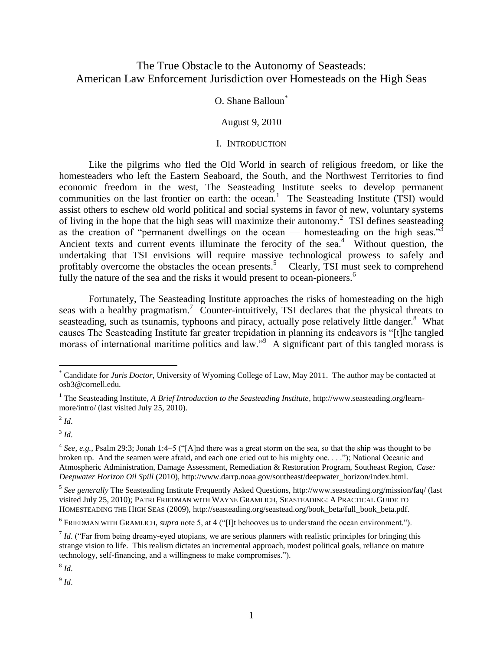# The True Obstacle to the Autonomy of Seasteads: American Law Enforcement Jurisdiction over Homesteads on the High Seas

## O. Shane Balloun\*

#### August 9, 2010

#### I. INTRODUCTION

Like the pilgrims who fled the Old World in search of religious freedom, or like the homesteaders who left the Eastern Seaboard, the South, and the Northwest Territories to find economic freedom in the west, The Seasteading Institute seeks to develop permanent communities on the last frontier on earth: the ocean.<sup>1</sup> The Seasteading Institute (TSI) would assist others to eschew old world political and social systems in favor of new, voluntary systems of living in the hope that the high seas will maximize their autonomy. 2 TSI defines seasteading as the creation of "permanent dwellings on the ocean — homesteading on the high seas."<sup>3</sup> Ancient texts and current events illuminate the ferocity of the sea.<sup>4</sup> Without question, the undertaking that TSI envisions will require massive technological prowess to safely and profitably overcome the obstacles the ocean presents.<sup>5</sup> Clearly, TSI must seek to comprehend fully the nature of the sea and the risks it would present to ocean-pioneers.<sup>6</sup>

Fortunately, The Seasteading Institute approaches the risks of homesteading on the high seas with a healthy pragmatism.<sup>7</sup> Counter-intuitively, TSI declares that the physical threats to seasteading, such as tsunamis, typhoons and piracy, actually pose relatively little danger.<sup>8</sup> What causes The Seasteading Institute far greater trepidation in planning its endeavors is "[t]he tangled morass of international maritime politics and law."<sup>9</sup> A significant part of this tangled morass is

 $^2$  *Id.* 

 $\overline{a}$ 

3 *Id*.

8 *Id*.

9 *Id*.

<sup>\*</sup> Candidate for *Juris Doctor*, University of Wyoming College of Law, May 2011. The author may be contacted at osb3@cornell.edu.

<sup>1</sup> The Seasteading Institute, *A Brief Introduction to the Seasteading Institute*, http://www.seasteading.org/learnmore/intro/ (last visited July 25, 2010).

 $4$  See, e.g., Psalm 29:3; Jonah 1:4–5 ("[A]nd there was a great storm on the sea, so that the ship was thought to be broken up. And the seamen were afraid, and each one cried out to his mighty one. . . .‖); National Oceanic and Atmospheric Administration, Damage Assessment, Remediation & Restoration Program, Southeast Region, *Case: Deepwater Horizon Oil Spill* (2010), http://www.darrp.noaa.gov/southeast/deepwater\_horizon/index.html.

<sup>5</sup> *See generally* The Seasteading Institute Frequently Asked Questions, http://www.seasteading.org/mission/faq/ (last visited July 25, 2010); PATRI FRIEDMAN WITH WAYNE GRAMLICH, SEASTEADING: A PRACTICAL GUIDE TO HOMESTEADING THE HIGH SEAS (2009), http://seasteading.org/seastead.org/book\_beta/full\_book\_beta.pdf.

 $6$  FRIEDMAN WITH GRAMLICH, *supra* note 5, at 4 ("[I]t behooves us to understand the ocean environment.").

 $<sup>7</sup>$  *Id.* ("Far from being dreamy-eyed utopians, we are serious planners with realistic principles for bringing this</sup> strange vision to life. This realism dictates an incremental approach, modest political goals, reliance on mature technology, self-financing, and a willingness to make compromises.").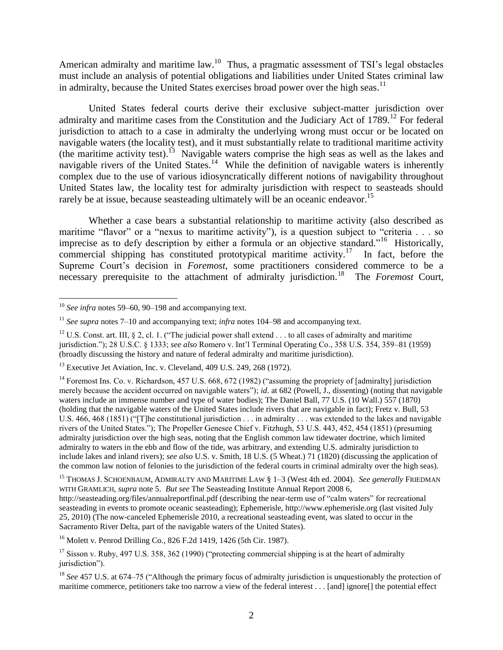American admiralty and maritime law.<sup>10</sup> Thus, a pragmatic assessment of TSI's legal obstacles must include an analysis of potential obligations and liabilities under United States criminal law in admiralty, because the United States exercises broad power over the high seas.<sup>11</sup>

United States federal courts derive their exclusive subject-matter jurisdiction over admiralty and maritime cases from the Constitution and the Judiciary Act of  $1789$ <sup>12</sup> For federal jurisdiction to attach to a case in admiralty the underlying wrong must occur or be located on navigable waters (the locality test), and it must substantially relate to traditional maritime activity (the maritime activity test).<sup>13</sup> Navigable waters comprise the high seas as well as the lakes and navigable rivers of the United States.<sup>14</sup> While the definition of navigable waters is inherently complex due to the use of various idiosyncratically different notions of navigability throughout United States law, the locality test for admiralty jurisdiction with respect to seasteads should rarely be at issue, because seasteading ultimately will be an oceanic endeavor.<sup>15</sup>

Whether a case bears a substantial relationship to maritime activity (also described as maritime "flavor" or a "nexus to maritime activity"), is a question subject to "criteria  $\ldots$  so imprecise as to defy description by either a formula or an objective standard."<sup>16</sup> Historically, commercial shipping has constituted prototypical maritime activity.<sup>17</sup> In fact, before the Supreme Court's decision in *Foremost*, some practitioners considered commerce to be a necessary prerequisite to the attachment of admiralty jurisdiction.<sup>18</sup> The *Foremost* Court,

<sup>16</sup> Molett v. Penrod Drilling Co., 826 F.2d 1419, 1426 (5th Cir. 1987).

 $\overline{\phantom{a}}$ <sup>10</sup> See infra notes 59–60, 90–198 and accompanying text.

<sup>11</sup> *See supra* notes 7–10 and accompanying text; *infra* notes 104–98 and accompanying text.

<sup>&</sup>lt;sup>12</sup> U.S. Const. art. III, § 2, cl. 1. ("The judicial power shall extend  $\dots$  to all cases of admiralty and maritime jurisdiction.‖); 28 U.S.C. § 1333; *see also* Romero v. Int'l Terminal Operating Co., 358 U.S. 354, 359–81 (1959) (broadly discussing the history and nature of federal admiralty and maritime jurisdiction).

<sup>&</sup>lt;sup>13</sup> Executive Jet Aviation, Inc. v. Cleveland, 409 U.S. 249, 268 (1972).

<sup>&</sup>lt;sup>14</sup> Foremost Ins. Co. v. Richardson, 457 U.S. 668, 672 (1982) ("assuming the propriety of [admiralty] jurisdiction merely because the accident occurred on navigable waters"); *id.* at 682 (Powell, J., dissenting) (noting that navigable waters include an immense number and type of water bodies); The Daniel Ball, 77 U.S. (10 Wall.) 557 (1870) (holding that the navigable waters of the United States include rivers that are navigable in fact); Fretz v. Bull, 53 U.S.  $466, 468$  (1851) ("The constitutional jurisdiction  $\dots$  in admiralty  $\dots$  was extended to the lakes and navigable rivers of the United States.‖); The Propeller Genesee Chief v. Fitzhugh, 53 U.S. 443, 452, 454 (1851) (presuming admiralty jurisdiction over the high seas, noting that the English common law tidewater doctrine, which limited admiralty to waters in the ebb and flow of the tide, was arbitrary, and extending U.S. admiralty jurisdiction to include lakes and inland rivers); *see also* U.S. v. Smith, 18 U.S. (5 Wheat.) 71 (1820) (discussing the application of the common law notion of felonies to the jurisdiction of the federal courts in criminal admiralty over the high seas).

<sup>15</sup> THOMAS J. SCHOENBAUM, ADMIRALTY AND MARITIME LAW § 1–3 (West 4th ed. 2004). *See generally* FRIEDMAN WITH GRAMLICH, *supra* note 5. *But see* The Seasteading Institute Annual Report 2008 6, http://seasteading.org/files/annualreportfinal.pdf (describing the near-term use of "calm waters" for recreational seasteading in events to promote oceanic seasteading); Ephemerisle, http://www.ephemerisle.org (last visited July 25, 2010) (The now-canceled Ephemerisle 2010, a recreational seasteading event, was slated to occur in the Sacramento River Delta, part of the navigable waters of the United States).

 $17$  Sisson v. Ruby, 497 U.S. 358, 362 (1990) ("protecting commercial shipping is at the heart of admiralty jurisdiction").

 $18$  *See* 457 U.S. at 674–75 ("Although the primary focus of admiralty jurisdiction is unquestionably the protection of maritime commerce, petitioners take too narrow a view of the federal interest . . . [and] ignore[] the potential effect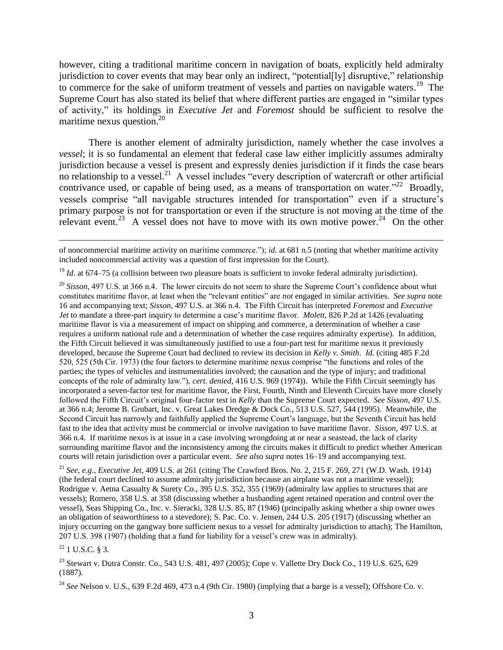however, citing a traditional maritime concern in navigation of boats, explicitly held admiralty jurisdiction to cover events that may bear only an indirect, "potential [ly] disruptive," relationship to commerce for the sake of uniform treatment of vessels and parties on navigable waters.<sup>19</sup> The Supreme Court has also stated its belief that where different parties are engaged in "similar types" of activity,‖ its holdings in *Executive Jet* and *Foremost* should be sufficient to resolve the maritime nexus question. $2^{20}$ 

There is another element of admiralty jurisdiction, namely whether the case involves a *vessel*; it is so fundamental an element that federal case law either implicitly assumes admiralty jurisdiction because a vessel is present and expressly denies jurisdiction if it finds the case bears no relationship to a vessel.<sup>21</sup> A vessel includes "every description of watercraft or other artificial contrivance used, or capable of being used, as a means of transportation on water.<sup>22</sup> Broadly, vessels comprise "all navigable structures intended for transportation" even if a structure's primary purpose is not for transportation or even if the structure is not moving at the time of the relevant event.<sup>23</sup> A vessel does not have to move with its own motive power.<sup>24</sup> On the other

<sup>21</sup> *See, e.g.*, *Executive Jet*, 409 U.S. at 261 (citing The Crawford Bros. No. 2, 215 F. 269, 271 (W.D. Wash. 1914) (the federal court declined to assume admiralty jurisdiction because an airplane was not a maritime vessel)); Rodrigue v. Aetna Casualty & Surety Co., 395 U.S. 352, 355 (1969) (admiralty law applies to structures that are vessels); Romero, 358 U.S. at 358 (discussing whether a husbanding agent retained operation and control over the vessel), Seas Shipping Co., Inc. v. Sieracki, 328 U.S. 85, 87 (1946) (principally asking whether a ship owner owes an obligation of seaworthiness to a stevedore); S. Pac. Co. v. Jensen, 244 U.S. 205 (1917) (discussing whether an injury occurring on the gangway bore sufficient nexus to a vessel for admiralty jurisdiction to attach); The Hamilton, 207 U.S. 398 (1907) (holding that a fund for liability for a vessel's crew was in admiralty).

 $^{22}$  1 U.S.C. § 3.

<sup>23</sup> Stewart v. Dutra Constr. Co., 543 U.S. 481, 497 (2005); Cope v. Vallette Dry Dock Co., 119 U.S. 625, 629 (1887).

 $\overline{a}$ of noncommercial maritime activity on maritime commerce.‖); *id.* at 681 n.5 (noting that whether maritime activity included noncommercial activity was a question of first impression for the Court).

<sup>&</sup>lt;sup>19</sup> *Id.* at 674–75 (a collision between two pleasure boats is sufficient to invoke federal admiralty jurisdiction).

<sup>&</sup>lt;sup>20</sup> *Sisson*, 497 U.S. at 366 n.4. The lower circuits do not seem to share the Supreme Court's confidence about what constitutes maritime flavor, at least when the "relevant entities" are *not* engaged in similar activities. *See supra* note 16 and accompanying text; *Sisson*, 497 U.S. at 366 n.4. The Fifth Circuit has interpreted *Foremost* and *Executive Jet* to mandate a three-part inquiry to determine a case's maritime flavor. *Molett*, 826 P.2d at 1426 (evaluating maritime flavor is via a measurement of impact on shipping and commerce, a determination of whether a case requires a uniform national rule and a determination of whether the case requires admiralty expertise). In addition, the Fifth Circuit believed it was simultaneously justified to use a four-part test for maritime nexus it previously developed, because the Supreme Court had declined to review its decision in *Kelly v. Smith*. *Id.* (citing 485 F.2d 520, 525 (5th Cir. 1973) (the four factors to determine maritime nexus comprise "the functions and roles of the parties; the types of vehicles and instrumentalities involved; the causation and the type of injury; and traditional concepts of the role of admiralty law.‖), *cert. denied*, 416 U.S. 969 (1974)). While the Fifth Circuit seemingly has incorporated a seven-factor test for maritime flavor, the First, Fourth, Ninth and Eleventh Circuits have more closely followed the Fifth Circuit's original four-factor test in *Kelly* than the Supreme Court expected. *See Sisson*, 497 U.S. at 366 n.4; Jerome B. Grubart, Inc. v. Great Lakes Dredge & Dock Co., 513 U.S. 527, 544 (1995). Meanwhile, the Second Circuit has narrowly and faithfully applied the Supreme Court's language, but the Seventh Circuit has held fast to the idea that activity must be commercial or involve navigation to have maritime flavor. *Sisson*, 497 U.S. at 366 n.4. If maritime nexus is at issue in a case involving wrongdoing at or near a seastead, the lack of clarity surrounding maritime flavor and the inconsistency among the circuits makes it difficult to predict whether American courts will retain jurisdiction over a particular event. *See also supra* notes 16–19 and accompanying text.

<sup>24</sup> *See* Nelson v. U.S., 639 F.2d 469, 473 n.4 (9th Cir. 1980) (implying that a barge is a vessel); Offshore Co. v.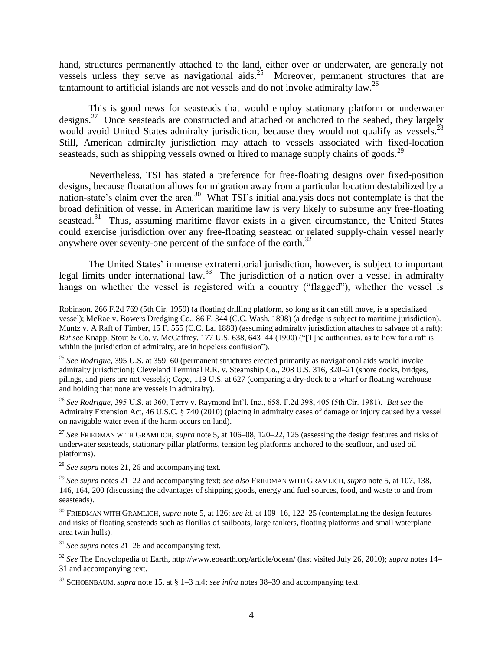hand, structures permanently attached to the land, either over or underwater, are generally not vessels unless they serve as navigational aids.<sup>25</sup> Moreover, permanent structures that are tantamount to artificial islands are not vessels and do not invoke admiralty law.<sup>26</sup>

This is good news for seasteads that would employ stationary platform or underwater designs.<sup>27</sup> Once seasteads are constructed and attached or anchored to the seabed, they largely would avoid United States admiralty jurisdiction, because they would not qualify as vessels.<sup>28</sup> Still, American admiralty jurisdiction may attach to vessels associated with fixed-location seasteads, such as shipping vessels owned or hired to manage supply chains of goods.<sup>29</sup>

Nevertheless, TSI has stated a preference for free-floating designs over fixed-position designs, because floatation allows for migration away from a particular location destabilized by a nation-state's claim over the area.<sup>30</sup> What TSI's initial analysis does not contemplate is that the broad definition of vessel in American maritime law is very likely to subsume any free-floating seastead.<sup>31</sup> Thus, assuming maritime flavor exists in a given circumstance, the United States could exercise jurisdiction over any free-floating seastead or related supply-chain vessel nearly anywhere over seventy-one percent of the surface of the earth.<sup>32</sup>

The United States' immense extraterritorial jurisdiction, however, is subject to important legal limits under international law.<sup>33</sup> The jurisdiction of a nation over a vessel in admiralty hangs on whether the vessel is registered with a country ("flagged"), whether the vessel is

<sup>25</sup> *See Rodrigue*, 395 U.S. at 359–60 (permanent structures erected primarily as navigational aids would invoke admiralty jurisdiction); Cleveland Terminal R.R. v. Steamship Co., 208 U.S. 316, 320–21 (shore docks, bridges, pilings, and piers are not vessels); *Cope*, 119 U.S. at 627 (comparing a dry-dock to a wharf or floating warehouse and holding that none are vessels in admiralty).

<sup>26</sup> *See Rodrigue*, 395 U.S. at 360; Terry v. Raymond Int'l, Inc., 658, F.2d 398, 405 (5th Cir. 1981). *But see* the Admiralty Extension Act, 46 U.S.C. § 740 (2010) (placing in admiralty cases of damage or injury caused by a vessel on navigable water even if the harm occurs on land).

<sup>27</sup> *See* FRIEDMAN WITH GRAMLICH, *supra* note 5, at 106–08, 120–22, 125 (assessing the design features and risks of underwater seasteads, stationary pillar platforms, tension leg platforms anchored to the seafloor, and used oil platforms).

<sup>28</sup> *See supra* notes 21, 26 and accompanying text.

 $\overline{a}$ 

<sup>29</sup> *See supra* notes 21–22 and accompanying text; *see also* FRIEDMAN WITH GRAMLICH, *supra* note 5, at 107, 138, 146, 164, 200 (discussing the advantages of shipping goods, energy and fuel sources, food, and waste to and from seasteads).

<sup>30</sup> FRIEDMAN WITH GRAMLICH, *supra* note 5, at 126; *see id.* at 109–16, 122–25 (contemplating the design features and risks of floating seasteads such as flotillas of sailboats, large tankers, floating platforms and small waterplane area twin hulls).

<sup>31</sup> *See supra* notes 21–26 and accompanying text.

<sup>32</sup> *See* The Encyclopedia of Earth, http://www.eoearth.org/article/ocean/ (last visited July 26, 2010); *supra* notes 14– 31 and accompanying text.

<sup>33</sup> SCHOENBAUM, *supra* note 15, at § 1–3 n.4; *see infra* notes 38–39 and accompanying text.

Robinson, 266 F.2d 769 (5th Cir. 1959) (a floating drilling platform, so long as it can still move, is a specialized vessel); McRae v. Bowers Dredging Co., 86 F. 344 (C.C. Wash. 1898) (a dredge is subject to maritime jurisdiction). Muntz v. A Raft of Timber, 15 F. 555 (C.C. La. 1883) (assuming admiralty jurisdiction attaches to salvage of a raft); *But see* Knapp, Stout & Co. v. McCaffrey, 177 U.S. 638, 643–44 (1900) ("T]he authorities, as to how far a raft is within the jurisdiction of admiralty, are in hopeless confusion").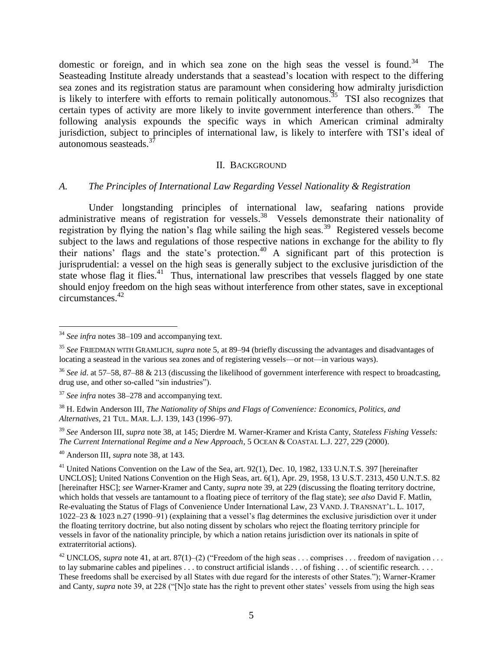domestic or foreign, and in which sea zone on the high seas the vessel is found.<sup>34</sup> The Seasteading Institute already understands that a seastead's location with respect to the differing sea zones and its registration status are paramount when considering how admiralty jurisdiction is likely to interfere with efforts to remain politically autonomous.<sup>35</sup> TSI also recognizes that certain types of activity are more likely to invite government interference than others.<sup>36</sup> The following analysis expounds the specific ways in which American criminal admiralty jurisdiction, subject to principles of international law, is likely to interfere with TSI's ideal of autonomous seasteads.<sup>3</sup>

#### II. BACKGROUND

### *A. The Principles of International Law Regarding Vessel Nationality & Registration*

Under longstanding principles of international law, seafaring nations provide administrative means of registration for vessels.<sup>38</sup> Vessels demonstrate their nationality of registration by flying the nation's flag while sailing the high seas.<sup>39</sup> Registered vessels become subject to the laws and regulations of those respective nations in exchange for the ability to fly their nations' flags and the state's protection.<sup>40</sup> A significant part of this protection is jurisprudential: a vessel on the high seas is generally subject to the exclusive jurisdiction of the state whose flag it flies.<sup>41</sup> Thus, international law prescribes that vessels flagged by one state should enjoy freedom on the high seas without interference from other states, save in exceptional circumstances.<sup>42</sup>

 $\overline{\phantom{a}}$ 

<sup>34</sup> *See infra* notes 38–109 and accompanying text.

<sup>35</sup> *See* FRIEDMAN WITH GRAMLICH, *supra* note 5, at 89–94 (briefly discussing the advantages and disadvantages of locating a seastead in the various sea zones and of registering vessels—or not—in various ways).

<sup>36</sup> *See id*. at 57–58, 87–88 & 213 (discussing the likelihood of government interference with respect to broadcasting, drug use, and other so-called "sin industries").

<sup>37</sup> *See infra* notes 38–278 and accompanying text.

<sup>38</sup> H. Edwin Anderson III, *The Nationality of Ships and Flags of Convenience: Economics, Politics, and Alternatives*, 21 TUL. MAR. L.J. 139, 143 (1996–97).

<sup>39</sup> *See* Anderson III, *supra* note 38, at 145; Dierdre M. Warner-Kramer and Krista Canty, *Stateless Fishing Vessels: The Current International Regime and a New Approach*, 5 OCEAN & COASTAL L.J. 227, 229 (2000).

<sup>40</sup> Anderson III, *supra* note 38, at 143.

<sup>&</sup>lt;sup>41</sup> United Nations Convention on the Law of the Sea, art. 92(1), Dec. 10, 1982, 133 U.N.T.S. 397 [hereinafter UNCLOS]; United Nations Convention on the High Seas, art. 6(1), Apr. 29, 1958, 13 U.S.T. 2313, 450 U.N.T.S. 82 [hereinafter HSC]; *see* Warner-Kramer and Canty, *supra* note 39, at 229 (discussing the floating territory doctrine, which holds that vessels are tantamount to a floating piece of territory of the flag state); *see also* David F. Matlin, Re-evaluating the Status of Flags of Convenience Under International Law, 23 VAND. J. TRANSNAT'L. L. 1017, 1022–23 & 1023 n.27 (1990–91) (explaining that a vessel's flag determines the exclusive jurisdiction over it under the floating territory doctrine, but also noting dissent by scholars who reject the floating territory principle for vessels in favor of the nationality principle, by which a nation retains jurisdiction over its nationals in spite of extraterritorial actions).

<sup>&</sup>lt;sup>42</sup> UNCLOS, *supra* note 41, at art. 87(1)–(2) ("Freedom of the high seas . . . comprises . . . freedom of navigation . . . to lay submarine cables and pipelines . . . to construct artificial islands . . . of fishing . . . of scientific research. . . . These freedoms shall be exercised by all States with due regard for the interests of other States.‖); Warner-Kramer and Canty, *supra* note 39, at 228 ("[N]o state has the right to prevent other states' vessels from using the high seas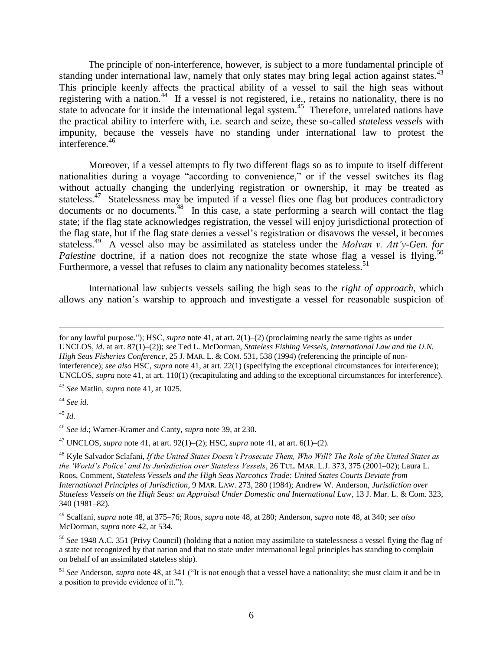The principle of non-interference, however, is subject to a more fundamental principle of standing under international law, namely that only states may bring legal action against states.<sup>43</sup> This principle keenly affects the practical ability of a vessel to sail the high seas without registering with a nation.<sup>44</sup> If a vessel is not registered, i.e., retains no nationality, there is no state to advocate for it inside the international legal system.<sup>45</sup> Therefore, unrelated nations have the practical ability to interfere with, i.e. search and seize, these so-called *stateless vessels* with impunity, because the vessels have no standing under international law to protest the interference.<sup>46</sup>

Moreover, if a vessel attempts to fly two different flags so as to impute to itself different nationalities during a voyage "according to convenience," or if the vessel switches its flag without actually changing the underlying registration or ownership, it may be treated as stateless.<sup>47</sup> Statelessness may be imputed if a vessel flies one flag but produces contradictory documents or no documents.<sup>48</sup> In this case, a state performing a search will contact the flag state; if the flag state acknowledges registration, the vessel will enjoy jurisdictional protection of the flag state, but if the flag state denies a vessel's registration or disavows the vessel, it becomes stateless.<sup>49</sup> A vessel also may be assimilated as stateless under the *Molvan v. Att'y-Gen. for* Palestine doctrine, if a nation does not recognize the state whose flag a vessel is flying.<sup>50</sup> Furthermore, a vessel that refuses to claim any nationality becomes stateless.<sup>51</sup>

International law subjects vessels sailing the high seas to the *right of approach*, which allows any nation's warship to approach and investigate a vessel for reasonable suspicion of

<sup>43</sup> *See* Matlin, *supra* note 41, at 1025.

<sup>44</sup> *See id.*

<sup>45</sup> *Id.*

<sup>46</sup> *See id*.; Warner-Kramer and Canty, *supra* note 39, at 230.

<sup>47</sup> UNCLOS, *supra* note 41, at art. 92(1)–(2); HSC, *supra* note 41, at art. 6(1)–(2).

 $\overline{a}$ for any lawful purpose.‖); HSC, *supra* note 41, at art. 2(1)–(2) (proclaiming nearly the same rights as under UNCLOS, *id*. at art. 87(1)–(2)); *see* Ted L. McDorman, *Stateless Fishing Vessels, International Law and the U.N. High Seas Fisheries Conference*, 25 J. MAR. L. & COM. 531, 538 (1994) (referencing the principle of noninterference); *see also* HSC, *supra* note 41, at art. 22(1) (specifying the exceptional circumstances for interference); UNCLOS, *supra* note 41, at art. 110(1) (recapitulating and adding to the exceptional circumstances for interference).

<sup>48</sup> Kyle Salvador Sclafani, *If the United States Doesn"t Prosecute Them, Who Will? The Role of the United States as the "World"s Police" and Its Jurisdiction over Stateless Vessels*, 26 TUL. MAR. L.J. 373, 375 (2001–02); Laura L. Roos, Comment, *Stateless Vessels and the High Seas Narcotics Trade: United States Courts Deviate from International Principles of Jurisdiction*, 9 MAR. LAW. 273, 280 (1984); Andrew W. Anderson, *Jurisdiction over Stateless Vessels on the High Seas: an Appraisal Under Domestic and International Law*, 13 J. Mar. L. & Com. 323, 340 (1981–82).

<sup>49</sup> Scalfani, *supra* note 48, at 375–76; Roos, *supra* note 48, at 280; Anderson, *supra* note 48, at 340; *see also* McDorman, *supra* note 42, at 534.

<sup>50</sup> *See* 1948 A.C. 351 (Privy Council) (holding that a nation may assimilate to statelessness a vessel flying the flag of a state not recognized by that nation and that no state under international legal principles has standing to complain on behalf of an assimilated stateless ship).

 $51$  *See* Anderson, *supra* note 48, at 341 ("It is not enough that a vessel have a nationality; she must claim it and be in a position to provide evidence of it.").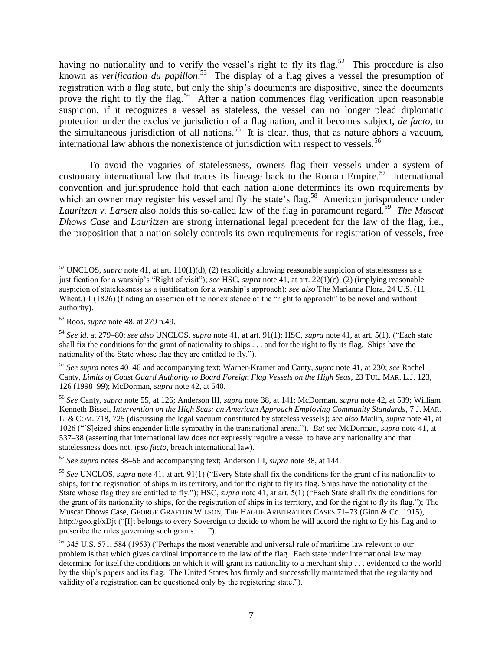having no nationality and to verify the vessel's right to fly its flag.<sup>52</sup> This procedure is also known as *verification du papillon*. 53 The display of a flag gives a vessel the presumption of registration with a flag state, but only the ship's documents are dispositive, since the documents prove the right to fly the flag.<sup>54</sup> After a nation commences flag verification upon reasonable suspicion, if it recognizes a vessel as stateless, the vessel can no longer plead diplomatic protection under the exclusive jurisdiction of a flag nation, and it becomes subject, *de facto*, to the simultaneous jurisdiction of all nations.<sup>55</sup> It is clear, thus, that as nature abhors a vacuum, international law abhors the nonexistence of jurisdiction with respect to vessels.<sup>56</sup>

To avoid the vagaries of statelessness, owners flag their vessels under a system of customary international law that traces its lineage back to the Roman Empire.<sup>57</sup> International convention and jurisprudence hold that each nation alone determines its own requirements by which an owner may register his vessel and fly the state's flag.<sup>58</sup> American jurisprudence under Lauritzen v. Larsen also holds this so-called law of the flag in paramount regard.<sup>59</sup> The Muscat *Dhows Case* and *Lauritzen* are strong international legal precedent for the law of the flag, i.e., the proposition that a nation solely controls its own requirements for registration of vessels, free

<sup>57</sup> *See supra* notes 38–56 and accompanying text; Anderson III, *supra* note 38, at 144.

 $\overline{\phantom{a}}$  $52$  UNCLOS, *supra* note 41, at art. 110(1)(d), (2) (explicitly allowing reasonable suspicion of statelessness as a justification for a warship's "Right of visit"); *see* HSC, *supra* note 41, at art. 22(1)(c), (2) (implying reasonable suspicion of statelessness as a justification for a warship's approach); *see also* The Marianna Flora, 24 U.S. (11 Wheat.) 1 (1826) (finding an assertion of the nonexistence of the "right to approach" to be novel and without authority).

<sup>53</sup> Roos, *supra* note 48, at 279 n.49.

<sup>54</sup> *See* i*d*. at 279–80; *see also* UNCLOS, *supra* note 41, at art. 91(1); HSC, *supra* note 41, at art. 5(1). (―Each state shall fix the conditions for the grant of nationality to ships . . . and for the right to fly its flag. Ships have the nationality of the State whose flag they are entitled to fly.").

<sup>55</sup> *See supra* notes 40–46 and accompanying text; Warner-Kramer and Canty, *supra* note 41, at 230; *see* Rachel Canty, *Limits of Coast Guard Authority to Board Foreign Flag Vessels on the High Seas*, 23 TUL. MAR. L.J. 123, 126 (1998–99); McDorman, *supra* note 42, at 540.

<sup>56</sup> *See* Canty*, supra* note 55, at 126; Anderson III, *supra* note 38, at 141; McDorman, *supra* note 42, at 539; William Kenneth Bissel, *Intervention on the High Seas: an American Approach Employing Community Standards*, 7 J. MAR. L. & COM. 718, 725 (discussing the legal vacuum constituted by stateless vessels); *see also* Matlin, *supra* note 41, at 1026 (―[S]eized ships engender little sympathy in the transnational arena.‖). *But see* McDorman, *supra* note 41, at 537–38 (asserting that international law does not expressly require a vessel to have any nationality and that statelessness does not, *ipso facto*, breach international law).

<sup>&</sup>lt;sup>58</sup> See UNCLOS, *supra* note 41, at art. 91(1) ("Every State shall fix the conditions for the grant of its nationality to ships, for the registration of ships in its territory, and for the right to fly its flag. Ships have the nationality of the State whose flag they are entitled to fly."); HSC, *supra* note 41, at art. 5(1) ("Each State shall fix the conditions for the grant of its nationality to ships, for the registration of ships in its territory, and for the right to fly its flag.‖); The Muscat Dhows Case, GEORGE GRAFTON WILSON, THE HAGUE ARBITRATION CASES 71–73 (Ginn & Co. 1915), http://goo.gl/xDjt ("[I]t belongs to every Sovereign to decide to whom he will accord the right to fly his flag and to prescribe the rules governing such grants.  $\dots$ ").

<sup>59 345</sup> U.S. 571, 584 (1953) ("Perhaps the most venerable and universal rule of maritime law relevant to our problem is that which gives cardinal importance to the law of the flag. Each state under international law may determine for itself the conditions on which it will grant its nationality to a merchant ship . . . evidenced to the world by the ship's papers and its flag. The United States has firmly and successfully maintained that the regularity and validity of a registration can be questioned only by the registering state.").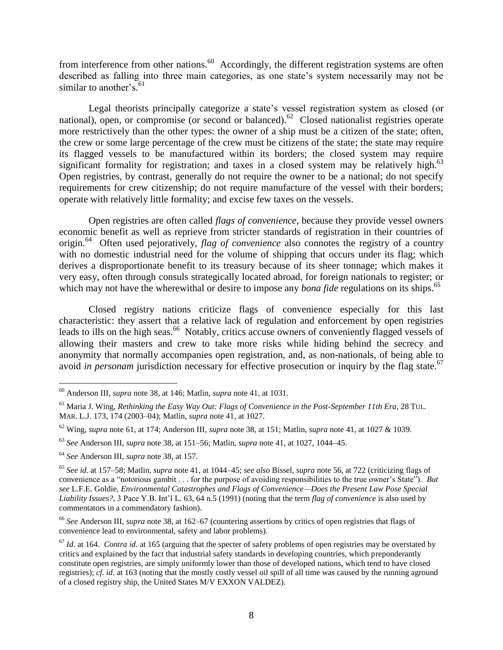from interference from other nations.<sup>60</sup> Accordingly, the different registration systems are often described as falling into three main categories, as one state's system necessarily may not be similar to another's.<sup>61</sup>

Legal theorists principally categorize a state's vessel registration system as closed (or national), open, or compromise (or second or balanced).<sup>62</sup> Closed nationalist registries operate more restrictively than the other types: the owner of a ship must be a citizen of the state; often, the crew or some large percentage of the crew must be citizens of the state; the state may require its flagged vessels to be manufactured within its borders; the closed system may require significant formality for registration; and taxes in a closed system may be relatively high.<sup>63</sup> Open registries, by contrast, generally do not require the owner to be a national; do not specify requirements for crew citizenship; do not require manufacture of the vessel with their borders; operate with relatively little formality; and excise few taxes on the vessels.

Open registries are often called *flags of convenience*, because they provide vessel owners economic benefit as well as reprieve from stricter standards of registration in their countries of origin.<sup>64</sup> Often used pejoratively, *flag of convenience* also connotes the registry of a country with no domestic industrial need for the volume of shipping that occurs under its flag; which derives a disproportionate benefit to its treasury because of its sheer tonnage; which makes it very easy, often through consuls strategically located abroad, for foreign nationals to register; or which may not have the wherewithal or desire to impose any *bona fide* regulations on its ships.<sup>65</sup>

Closed registry nations criticize flags of convenience especially for this last characteristic: they assert that a relative lack of regulation and enforcement by open registries leads to ills on the high seas.<sup>66</sup> Notably, critics accuse owners of conveniently flagged vessels of allowing their masters and crew to take more risks while hiding behind the secrecy and anonymity that normally accompanies open registration, and, as non-nationals, of being able to avoid *in personam* jurisdiction necessary for effective prosecution or inquiry by the flag state.<sup>67</sup>

 $\overline{\phantom{a}}$ <sup>60</sup> Anderson III, *supra* note 38, at 146; Matlin, *supra* note 41, at 1031.

<sup>61</sup> Maria J. Wing, *Rethinking the Easy Way Out: Flags of Convenience in the Post-September 11th Era*, 28 TUL. MAR. L.J. 173, 174 (2003–04); Matlin, *supra* note 41, at 1027.

<sup>62</sup> Wing, *supra* note 61, at 174; Anderson III, *supra* note 38, at 151; Matlin, *supra* note 41, at 1027 & 1039.

<sup>63</sup> *See* Anderson III, *supra* note 38, at 151–56; Matlin, *supra* note 41, at 1027, 1044–45.

<sup>64</sup> *See* Anderson III, *supra* note 38, at 157.

<sup>65</sup> *See id*. at 157–58; Matlin, *supra* note 41, at 1044–45; *see also* Bissel, *supra* note 56, at 722 (criticizing flags of convenience as a "notorious gambit . . . for the purpose of avoiding responsibilities to the true owner's State"). *But see* L.F.E. Goldie, *Environmental Catastrophes and Flags of Convenience—Does the Present Law Pose Special Liability Issues?*, 3 Pace Y.B. Int'l L. 63, 64 n.5 (1991) (noting that the term *flag of convenience* is also used by commentators in a commendatory fashion).

<sup>66</sup> *See* Anderson III, *supra* note 38, at 162–67 (countering assertions by critics of open registries that flags of convenience lead to environmental, safety and labor problems).

<sup>&</sup>lt;sup>67</sup> *Id.* at 164. *Contra id.* at 165 (arguing that the specter of safety problems of open registries may be overstated by critics and explained by the fact that industrial safety standards in developing countries, which preponderantly constitute open registries, are simply uniformly lower than those of developed nations, which tend to have closed registries); *cf*. *id*. at 163 (noting that the mostly costly vessel oil spill of all time was caused by the running aground of a closed registry ship, the United States M/V EXXON VALDEZ).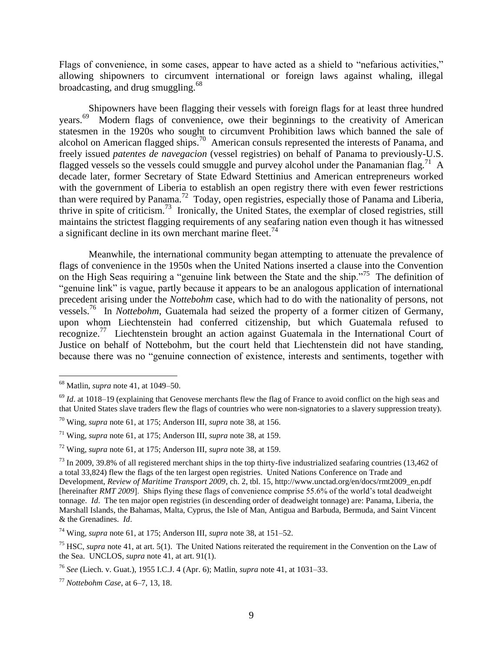Flags of convenience, in some cases, appear to have acted as a shield to "nefarious activities," allowing shipowners to circumvent international or foreign laws against whaling, illegal broadcasting, and drug smuggling.<sup>68</sup>

Shipowners have been flagging their vessels with foreign flags for at least three hundred years.<sup>69</sup> Modern flags of convenience, owe their beginnings to the creativity of American statesmen in the 1920s who sought to circumvent Prohibition laws which banned the sale of alcohol on American flagged ships.<sup>70</sup> American consuls represented the interests of Panama, and freely issued *patentes de navegacion* (vessel registries) on behalf of Panama to previously-U.S. flagged vessels so the vessels could smuggle and purvey alcohol under the Panamanian flag.<sup>71</sup> A decade later, former Secretary of State Edward Stettinius and American entrepreneurs worked with the government of Liberia to establish an open registry there with even fewer restrictions than were required by Panama.<sup>72</sup> Today, open registries, especially those of Panama and Liberia, thrive in spite of criticism.<sup>73</sup> Ironically, the United States, the exemplar of closed registries, still maintains the strictest flagging requirements of any seafaring nation even though it has witnessed a significant decline in its own merchant marine fleet.<sup>74</sup>

Meanwhile, the international community began attempting to attenuate the prevalence of flags of convenience in the 1950s when the United Nations inserted a clause into the Convention on the High Seas requiring a "genuine link between the State and the ship."<sup>75</sup> The definition of "genuine link" is vague, partly because it appears to be an analogous application of international precedent arising under the *Nottebohm* case, which had to do with the nationality of persons, not vessels.<sup>76</sup> In *Nottebohm*, Guatemala had seized the property of a former citizen of Germany, upon whom Liechtenstein had conferred citizenship, but which Guatemala refused to recognize.<sup>77</sup> Liechtenstein brought an action against Guatemala in the International Court of Justice on behalf of Nottebohm, but the court held that Liechtenstein did not have standing, because there was no "genuine connection of existence, interests and sentiments, together with

 $\overline{\phantom{a}}$ <sup>68</sup> Matlin, *supra* note 41, at 1049–50.

 $^{69}$  *Id.* at 1018–19 (explaining that Genovese merchants flew the flag of France to avoid conflict on the high seas and that United States slave traders flew the flags of countries who were non-signatories to a slavery suppression treaty).

<sup>70</sup> Wing*, supra* note 61, at 175; Anderson III, *supra* note 38, at 156.

<sup>71</sup> Wing, *supra* note 61, at 175; Anderson III, *supra* note 38, at 159.

<sup>72</sup> Wing, *supra* note 61, at 175; Anderson III, *supra* note 38, at 159.

 $^{73}$  In 2009, 39.8% of all registered merchant ships in the top thirty-five industrialized seafaring countries (13,462 of a total 33,824) flew the flags of the ten largest open registries. United Nations Conference on Trade and Development, *Review of Maritime Transport 2009*, ch. 2, tbl. 15, http://www.unctad.org/en/docs/rmt2009\_en.pdf [hereinafter *RMT 2009*]. Ships flying these flags of convenience comprise 55.6% of the world's total deadweight tonnage. *Id*. The ten major open registries (in descending order of deadweight tonnage) are: Panama, Liberia, the Marshall Islands, the Bahamas, Malta, Cyprus, the Isle of Man, Antigua and Barbuda, Bermuda, and Saint Vincent & the Grenadines. *Id*.

<sup>74</sup> Wing, *supra* note 61, at 175; Anderson III, *supra* note 38, at 151–52.

<sup>&</sup>lt;sup>75</sup> HSC, *supra* note 41, at art. 5(1). The United Nations reiterated the requirement in the Convention on the Law of the Sea. UNCLOS, *supra* note 41, at art. 91(1).

<sup>76</sup> *See* (Liech. v. Guat.), 1955 I.C.J. 4 (Apr. 6); Matlin, *supra* note 41, at 1031–33.

<sup>77</sup> *Nottebohm Case*, at 6–7, 13, 18.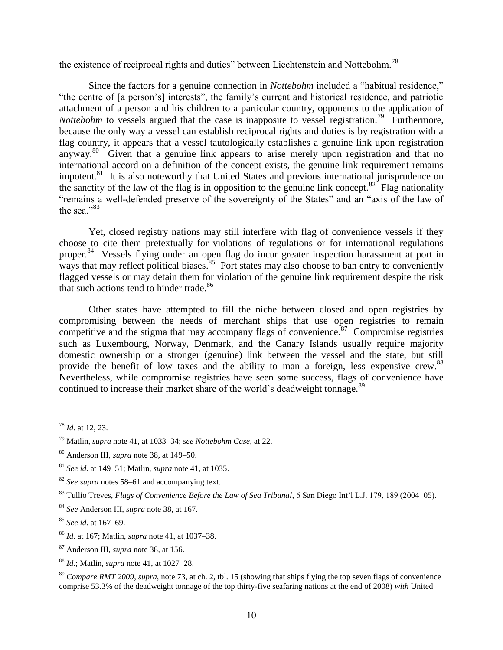the existence of reciprocal rights and duties" between Liechtenstein and Nottebohm.<sup>78</sup>

Since the factors for a genuine connection in *Nottebohm* included a "habitual residence," "the centre of [a person's] interests", the family's current and historical residence, and patriotic attachment of a person and his children to a particular country, opponents to the application of *Nottebohm* to vessels argued that the case is inapposite to vessel registration.<sup>79</sup> Furthermore, because the only way a vessel can establish reciprocal rights and duties is by registration with a flag country, it appears that a vessel tautologically establishes a genuine link upon registration anyway.<sup>80</sup> Given that a genuine link appears to arise merely upon registration and that no international accord on a definition of the concept exists, the genuine link requirement remains impotent.<sup>81</sup> It is also noteworthy that United States and previous international jurisprudence on the sanctity of the law of the flag is in opposition to the genuine link concept.<sup>82</sup> Flag nationality "remains a well-defended preserve of the sovereignty of the States" and an "axis of the law of the sea $\cdot$ <sup>83</sup>

Yet, closed registry nations may still interfere with flag of convenience vessels if they choose to cite them pretextually for violations of regulations or for international regulations proper.<sup>84</sup> Vessels flying under an open flag do incur greater inspection harassment at port in ways that may reflect political biases.<sup>85</sup> Port states may also choose to ban entry to conveniently flagged vessels or may detain them for violation of the genuine link requirement despite the risk that such actions tend to hinder trade.<sup>86</sup>

Other states have attempted to fill the niche between closed and open registries by compromising between the needs of merchant ships that use open registries to remain competitive and the stigma that may accompany flags of convenience.<sup>87</sup> Compromise registries such as Luxembourg, Norway, Denmark, and the Canary Islands usually require majority domestic ownership or a stronger (genuine) link between the vessel and the state, but still provide the benefit of low taxes and the ability to man a foreign, less expensive crew.<sup>88</sup> Nevertheless, while compromise registries have seen some success, flags of convenience have continued to increase their market share of the world's deadweight tonnage.<sup>89</sup>

 $\overline{a}$ <sup>78</sup> *Id.* at 12, 23.

<sup>79</sup> Matlin*, supra* note 41, at 1033–34; *see Nottebohm Case*, at 22.

<sup>80</sup> Anderson III, *supra* note 38, at 149–50.

<sup>81</sup> *See id*. at 149–51; Matlin, *supra* note 41, at 1035.

<sup>82</sup> *See supra* notes 58–61 and accompanying text.

<sup>83</sup> Tullio Treves, *Flags of Convenience Before the Law of Sea Tribunal*, 6 San Diego Int'l L.J. 179, 189 (2004–05).

<sup>84</sup> *See* Anderson III, *supra* note 38, at 167.

<sup>85</sup> *See id.* at 167–69.

<sup>86</sup> *Id*. at 167; Matlin, *supra* note 41, at 1037–38.

<sup>87</sup> Anderson III*, supra* note 38, at 156.

<sup>88</sup> *Id*.; Matlin, *supra* note 41, at 1027–28.

<sup>89</sup> *Compare RMT 2009*, *supra*, note 73, at ch. 2, tbl. 15 (showing that ships flying the top seven flags of convenience comprise 53.3% of the deadweight tonnage of the top thirty-five seafaring nations at the end of 2008) *with* United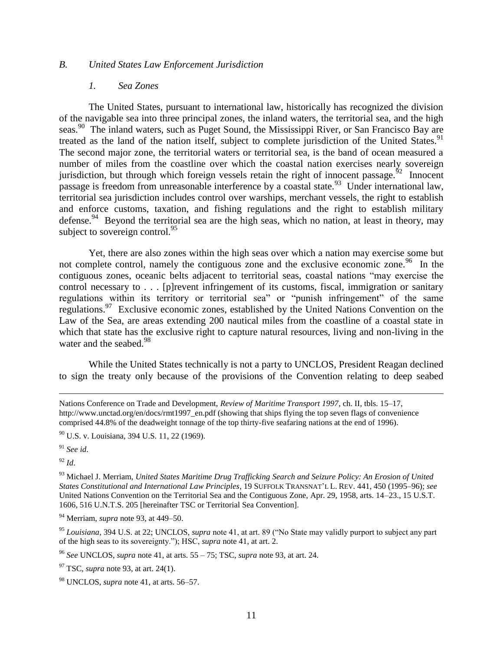## *B. United States Law Enforcement Jurisdiction*

#### *1. Sea Zones*

The United States, pursuant to international law, historically has recognized the division of the navigable sea into three principal zones, the inland waters, the territorial sea, and the high seas.<sup>90</sup> The inland waters, such as Puget Sound, the Mississippi River, or San Francisco Bay are treated as the land of the nation itself, subject to complete jurisdiction of the United States.<sup>91</sup> The second major zone, the territorial waters or territorial sea, is the band of ocean measured a number of miles from the coastline over which the coastal nation exercises nearly sovereign jurisdiction, but through which foreign vessels retain the right of innocent passage.<sup>52</sup> Innocent passage is freedom from unreasonable interference by a coastal state.<sup>93</sup> Under international law, territorial sea jurisdiction includes control over warships, merchant vessels, the right to establish and enforce customs, taxation, and fishing regulations and the right to establish military defense.<sup>94</sup> Beyond the territorial sea are the high seas, which no nation, at least in theory, may subject to sovereign control. $^{95}$ 

Yet, there are also zones within the high seas over which a nation may exercise some but not complete control, namely the contiguous zone and the exclusive economic zone.<sup>96</sup> In the contiguous zones, oceanic belts adjacent to territorial seas, coastal nations "may exercise the control necessary to . . . [p]revent infringement of its customs, fiscal, immigration or sanitary regulations within its territory or territorial sea" or "punish infringement" of the same regulations.<sup>97</sup> Exclusive economic zones, established by the United Nations Convention on the Law of the Sea, are areas extending 200 nautical miles from the coastline of a coastal state in which that state has the exclusive right to capture natural resources, living and non-living in the water and the seabed.<sup>98</sup>

While the United States technically is not a party to UNCLOS, President Reagan declined to sign the treaty only because of the provisions of the Convention relating to deep seabed

<sup>91</sup> *See id*.

 $^{92}$  *Id.* 

 $\overline{a}$ 

Nations Conference on Trade and Development, *Review of Maritime Transport 1997*, ch. II, tbls. 15–17, http://www.unctad.org/en/docs/rmt1997\_en.pdf (showing that ships flying the top seven flags of convenience comprised 44.8% of the deadweight tonnage of the top thirty-five seafaring nations at the end of 1996).

<sup>90</sup> U.S. v. Louisiana, 394 U.S. 11, 22 (1969).

<sup>93</sup> Michael J. Merriam, *United States Maritime Drug Trafficking Search and Seizure Policy: An Erosion of United States Constitutional and International Law Principles*, 19 SUFFOLK TRANSNAT'L L. REV. 441, 450 (1995–96); *see*  United Nations Convention on the Territorial Sea and the Contiguous Zone, Apr. 29, 1958, arts. 14–23., 15 U.S.T. 1606, 516 U.N.T.S. 205 [hereinafter TSC or Territorial Sea Convention].

<sup>94</sup> Merriam, *supra* note 93, at 449–50.

<sup>&</sup>lt;sup>95</sup> *Louisiana*, 394 U.S. at 22; UNCLOS, *supra* note 41, at art. 89 ("No State may validly purport to subject any part of the high seas to its sovereignty."); HSC, *supra* note 41, at art. 2.

<sup>96</sup> *See* UNCLOS, *supra* note 41, at arts. 55 – 75; TSC, *supra* note 93, at art. 24.

<sup>97</sup> TSC, *supra* note 93, at art. 24(1).

<sup>98</sup> UNCLOS, *supra* note 41, at arts. 56–57.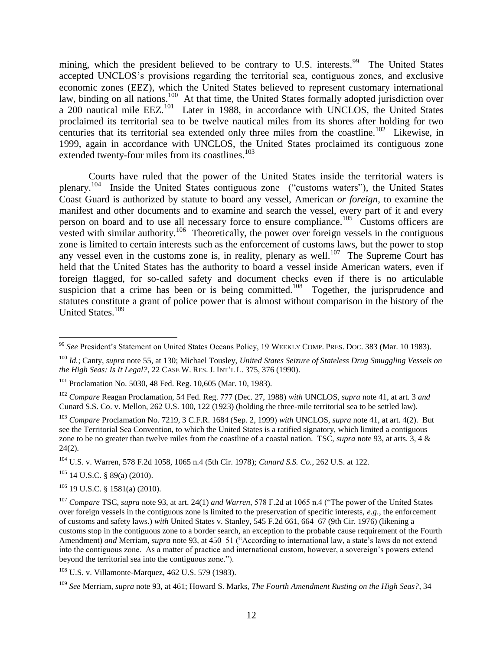mining, which the president believed to be contrary to U.S. interests.<sup>99</sup> The United States accepted UNCLOS's provisions regarding the territorial sea, contiguous zones, and exclusive economic zones (EEZ), which the United States believed to represent customary international law, binding on all nations.<sup>100</sup> At that time, the United States formally adopted jurisdiction over a 200 nautical mile EEZ.<sup>101</sup> Later in 1988, in accordance with UNCLOS, the United States proclaimed its territorial sea to be twelve nautical miles from its shores after holding for two centuries that its territorial sea extended only three miles from the coastline.<sup>102</sup> Likewise, in 1999, again in accordance with UNCLOS, the United States proclaimed its contiguous zone extended twenty-four miles from its coastlines.<sup>103</sup>

Courts have ruled that the power of the United States inside the territorial waters is plenary.<sup>104</sup> Inside the United States contiguous zone ("customs waters"), the United States Coast Guard is authorized by statute to board any vessel, American *or foreign*, to examine the manifest and other documents and to examine and search the vessel, every part of it and every person on board and to use all necessary force to ensure compliance.<sup>105</sup> Customs officers are vested with similar authority.<sup>106</sup> Theoretically, the power over foreign vessels in the contiguous zone is limited to certain interests such as the enforcement of customs laws, but the power to stop any vessel even in the customs zone is, in reality, plenary as well.<sup>107</sup> The Supreme Court has held that the United States has the authority to board a vessel inside American waters, even if foreign flagged, for so-called safety and document checks even if there is no articulable suspicion that a crime has been or is being committed.<sup>108</sup> Together, the jurisprudence and statutes constitute a grant of police power that is almost without comparison in the history of the United States.<sup>109</sup>

<sup>104</sup> U.S. v. Warren, 578 F.2d 1058, 1065 n.4 (5th Cir. 1978); *Cunard S.S. Co.*, 262 U.S. at 122.

 $105$  14 U.S.C. § 89(a) (2010).

 $106$  19 U.S.C. § 1581(a) (2010).

 $\overline{\phantom{a}}$ <sup>99</sup> *See* President's Statement on United States Oceans Policy, 19 WEEKLY COMP. PRES. DOC. 383 (Mar. 10 1983).

<sup>100</sup> *Id.*; Canty, *supra* note 55, at 130; Michael Tousley, *United States Seizure of Stateless Drug Smuggling Vessels on the High Seas: Is It Legal?*, 22 CASE W. RES. J. INT'L L. 375, 376 (1990).

<sup>&</sup>lt;sup>101</sup> Proclamation No. 5030, 48 Fed. Reg. 10,605 (Mar. 10, 1983).

<sup>102</sup> *Compare* Reagan Proclamation, 54 Fed. Reg. 777 (Dec. 27, 1988) *with* UNCLOS, *supra* note 41, at art. 3 *and*  Cunard S.S. Co. v. Mellon, 262 U.S. 100, 122 (1923) (holding the three-mile territorial sea to be settled law).

<sup>103</sup> *Compare* Proclamation No. 7219, 3 C.F.R. 1684 (Sep. 2, 1999) *with* UNCLOS, *supra* note 41, at art. 4(2). But see the Territorial Sea Convention, to which the United States is a ratified signatory, which limited a contiguous zone to be no greater than twelve miles from the coastline of a coastal nation. TSC, *supra* note 93, at arts. 3, 4 &  $24(2)$ .

<sup>&</sup>lt;sup>107</sup> *Compare* TSC, *supra* note 93, at art. 24(1) *and Warren*, 578 F.2d at 1065 n.4 ("The power of the United States") over foreign vessels in the contiguous zone is limited to the preservation of specific interests, *e.g.*, the enforcement of customs and safety laws.) *with* United States v. Stanley, 545 F.2d 661, 664–67 (9th Cir. 1976) (likening a customs stop in the contiguous zone to a border search, an exception to the probable cause requirement of the Fourth Amendment) *and* Merriam, *supra* note 93, at 450–51 ("According to international law, a state's laws do not extend into the contiguous zone. As a matter of practice and international custom, however, a sovereign's powers extend beyond the territorial sea into the contiguous zone.").

<sup>108</sup> U.S. v. Villamonte-Marquez, 462 U.S. 579 (1983).

<sup>109</sup> *See* Merriam, *supra* note 93, at 461; Howard S. Marks, *The Fourth Amendment Rusting on the High Seas?*, 34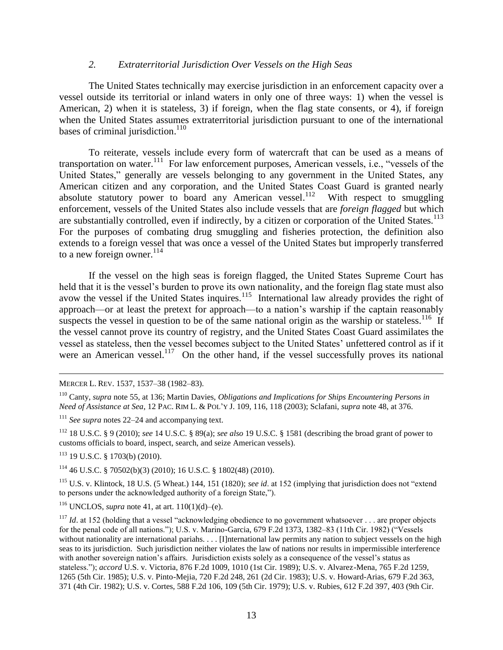### *2. Extraterritorial Jurisdiction Over Vessels on the High Seas*

The United States technically may exercise jurisdiction in an enforcement capacity over a vessel outside its territorial or inland waters in only one of three ways: 1) when the vessel is American, 2) when it is stateless, 3) if foreign, when the flag state consents, or 4), if foreign when the United States assumes extraterritorial jurisdiction pursuant to one of the international bases of criminal jurisdiction.<sup>110</sup>

To reiterate, vessels include every form of watercraft that can be used as a means of transportation on water.<sup>111</sup> For law enforcement purposes, American vessels, i.e., "vessels of the United States," generally are vessels belonging to any government in the United States, any American citizen and any corporation, and the United States Coast Guard is granted nearly absolute statutory power to board any American vessel.<sup>112</sup> With respect to smuggling enforcement, vessels of the United States also include vessels that are *foreign flagged* but which are substantially controlled, even if indirectly, by a citizen or corporation of the United States.<sup>113</sup> For the purposes of combating drug smuggling and fisheries protection, the definition also extends to a foreign vessel that was once a vessel of the United States but improperly transferred to a new foreign owner. $^{114}$ 

If the vessel on the high seas is foreign flagged, the United States Supreme Court has held that it is the vessel's burden to prove its own nationality, and the foreign flag state must also avow the vessel if the United States inquires.<sup>115</sup> International law already provides the right of approach—or at least the pretext for approach—to a nation's warship if the captain reasonably suspects the vessel in question to be of the same national origin as the warship or stateless.<sup>116</sup> If the vessel cannot prove its country of registry, and the United States Coast Guard assimilates the vessel as stateless, then the vessel becomes subject to the United States' unfettered control as if it were an American vessel.<sup>117</sup> On the other hand, if the vessel successfully proves its national

 $\overline{a}$ MERCER L. REV. 1537, 1537–38 (1982–83).

<sup>111</sup> *See supra* notes 22–24 and accompanying text.

<sup>112</sup> 18 U.S.C. § 9 (2010); *see* 14 U.S.C. § 89(a); *see also* 19 U.S.C. § 1581 (describing the broad grant of power to customs officials to board, inspect, search, and seize American vessels).

<sup>113</sup> 19 U.S.C. § 1703(b) (2010).

<sup>114</sup> 46 U.S.C. § 70502(b)(3) (2010); 16 U.S.C. § 1802(48) (2010).

<sup>115</sup> U.S. v. Klintock, 18 U.S. (5 Wheat.) 144, 151 (1820); *see id.* at 152 (implying that jurisdiction does not "extend" to persons under the acknowledged authority of a foreign State,").

<sup>116</sup> UNCLOS, *supra* note 41, at art.  $110(1)(d)$ –(e).

<sup>117</sup> *Id.* at 152 (holding that a vessel "acknowledging obedience to no government whatsoever  $\ldots$  are proper objects for the penal code of all nations."); U.S. v. Marino-Garcia, 679 F.2d 1373, 1382–83 (11th Cir. 1982) ("Vessels without nationality are international pariahs. . . . [I]nternational law permits any nation to subject vessels on the high seas to its jurisdiction. Such jurisdiction neither violates the law of nations nor results in impermissible interference with another sovereign nation's affairs. Jurisdiction exists solely as a consequence of the vessel's status as stateless.‖); *accord* U.S. v. Victoria, 876 F.2d 1009, 1010 (1st Cir. 1989); U.S. v. Alvarez-Mena, 765 F.2d 1259, 1265 (5th Cir. 1985); U.S. v. Pinto-Mejia, 720 F.2d 248, 261 (2d Cir. 1983); U.S. v. Howard-Arias, 679 F.2d 363, 371 (4th Cir. 1982); U.S. v. Cortes, 588 F.2d 106, 109 (5th Cir. 1979); U.S. v. Rubies, 612 F.2d 397, 403 (9th Cir.

<sup>110</sup> Canty, *supra* note 55, at 136; Martin Davies, *Obligations and Implications for Ships Encountering Persons in Need of Assistance at Sea*, 12 PAC. RIM L. & POL'Y J. 109, 116, 118 (2003); Sclafani, *supra* note 48, at 376.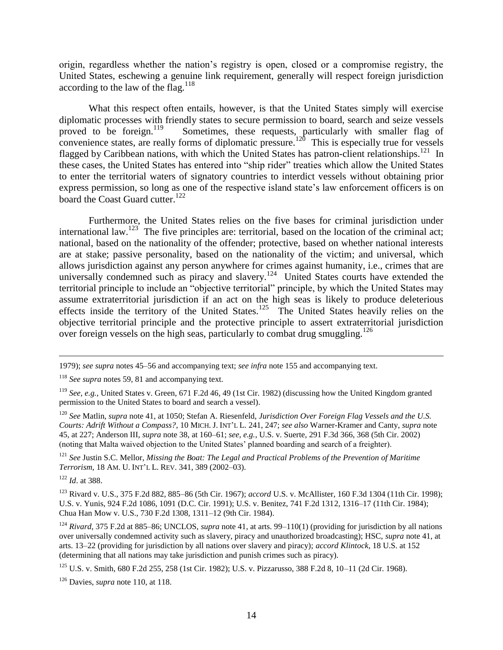origin, regardless whether the nation's registry is open, closed or a compromise registry, the United States, eschewing a genuine link requirement, generally will respect foreign jurisdiction according to the law of the flag.<sup>118</sup>

What this respect often entails, however, is that the United States simply will exercise diplomatic processes with friendly states to secure permission to board, search and seize vessels proved to be foreign.<sup>119</sup> Sometimes, these requests, particularly with smaller flag of convenience states, are really forms of diplomatic pressure.<sup>120</sup> This is especially true for vessels flagged by Caribbean nations, with which the United States has patron-client relationships.<sup>121</sup> In these cases, the United States has entered into "ship rider" treaties which allow the United States to enter the territorial waters of signatory countries to interdict vessels without obtaining prior express permission, so long as one of the respective island state's law enforcement officers is on board the Coast Guard cutter.<sup>122</sup>

Furthermore, the United States relies on the five bases for criminal jurisdiction under international law.<sup>123</sup> The five principles are: territorial, based on the location of the criminal act; national, based on the nationality of the offender; protective, based on whether national interests are at stake; passive personality, based on the nationality of the victim; and universal, which allows jurisdiction against any person anywhere for crimes against humanity, i.e., crimes that are universally condemned such as piracy and slavery.<sup>124</sup> United States courts have extended the territorial principle to include an "objective territorial" principle, by which the United States may assume extraterritorial jurisdiction if an act on the high seas is likely to produce deleterious effects inside the territory of the United States.<sup>125</sup> The United States heavily relies on the objective territorial principle and the protective principle to assert extraterritorial jurisdiction over foreign vessels on the high seas, particularly to combat drug smuggling.<sup>126</sup>

<sup>120</sup> *See* Matlin, *supra* note 41, at 1050; Stefan A. Riesenfeld, *Jurisdiction Over Foreign Flag Vessels and the U.S. Courts: Adrift Without a Compass?*, 10 MICH. J. INT'L L. 241, 247; *see also* Warner-Kramer and Canty, *supra* note 45, at 227; Anderson III, *supra* note 38, at 160–61; *see, e.g.*, U.S. v. Suerte, 291 F.3d 366, 368 (5th Cir. 2002) (noting that Malta waived objection to the United States' planned boarding and search of a freighter).

<sup>121</sup> *See* Justin S.C. Mellor, *Missing the Boat: The Legal and Practical Problems of the Prevention of Maritime Terrorism*, 18 AM. U. INT'L L. REV. 341, 389 (2002–03).

<sup>122</sup> *Id*. at 388.

 $\overline{a}$ 

<sup>123</sup> Rivard v. U.S., 375 F.2d 882, 885–86 (5th Cir. 1967); *accord* U.S. v. McAllister, 160 F.3d 1304 (11th Cir. 1998); U.S. v. Yunis, 924 F.2d 1086, 1091 (D.C. Cir. 1991); U.S. v. Benitez, 741 F.2d 1312, 1316–17 (11th Cir. 1984); Chua Han Mow v. U.S., 730 F.2d 1308, 1311–12 (9th Cir. 1984).

<sup>124</sup> *Rivard*, 375 F.2d at 885–86; UNCLOS, *supra* note 41, at arts. 99–110(1) (providing for jurisdiction by all nations over universally condemned activity such as slavery, piracy and unauthorized broadcasting); HSC, *supra* note 41, at arts. 13–22 (providing for jurisdiction by all nations over slavery and piracy); *accord Klintock*, 18 U.S. at 152 (determining that all nations may take jurisdiction and punish crimes such as piracy).

<sup>126</sup> Davies, *supra* note 110, at 118.

<sup>1979);</sup> *see supra* notes 45–56 and accompanying text; *see infra* note 155 and accompanying text.

<sup>118</sup> *See supra* notes 59, 81 and accompanying text.

<sup>119</sup> *See, e.g.*, United States v. Green, 671 F.2d 46, 49 (1st Cir. 1982) (discussing how the United Kingdom granted permission to the United States to board and search a vessel).

<sup>125</sup> U.S. v. Smith, 680 F.2d 255, 258 (1st Cir. 1982); U.S. v. Pizzarusso, 388 F.2d 8, 10–11 (2d Cir. 1968).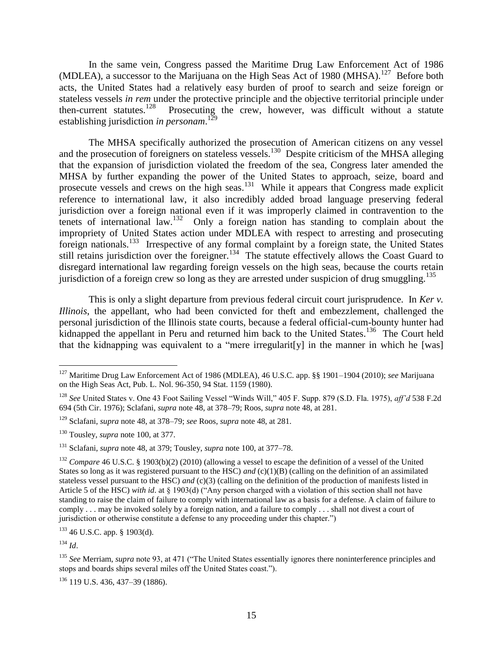In the same vein, Congress passed the Maritime Drug Law Enforcement Act of 1986 (MDLEA), a successor to the Marijuana on the High Seas Act of 1980 (MHSA).<sup>127</sup> Before both acts, the United States had a relatively easy burden of proof to search and seize foreign or stateless vessels *in rem* under the protective principle and the objective territorial principle under then-current statutes.<sup>128</sup> Prosecuting the crew, however, was difficult without a statute establishing jurisdiction *in personam*. 129

The MHSA specifically authorized the prosecution of American citizens on any vessel and the prosecution of foreigners on stateless vessels.<sup>130</sup> Despite criticism of the MHSA alleging that the expansion of jurisdiction violated the freedom of the sea, Congress later amended the MHSA by further expanding the power of the United States to approach, seize, board and prosecute vessels and crews on the high seas.<sup>131</sup> While it appears that Congress made explicit reference to international law, it also incredibly added broad language preserving federal jurisdiction over a foreign national even if it was improperly claimed in contravention to the tenets of international law.<sup>132</sup> Only a foreign nation has standing to complain about the impropriety of United States action under MDLEA with respect to arresting and prosecuting foreign nationals.<sup>133</sup> Irrespective of any formal complaint by a foreign state, the United States still retains jurisdiction over the foreigner.<sup>134</sup> The statute effectively allows the Coast Guard to disregard international law regarding foreign vessels on the high seas, because the courts retain jurisdiction of a foreign crew so long as they are arrested under suspicion of drug smuggling.<sup>135</sup>

This is only a slight departure from previous federal circuit court jurisprudence. In *Ker v. Illinois*, the appellant, who had been convicted for theft and embezzlement, challenged the personal jurisdiction of the Illinois state courts, because a federal official-cum-bounty hunter had kidnapped the appellant in Peru and returned him back to the United States.<sup>136</sup> The Court held that the kidnapping was equivalent to a "mere irregularit[y] in the manner in which he [was]

<sup>134</sup> *Id*.

 $\overline{\phantom{a}}$ 

<sup>127</sup> Maritime Drug Law Enforcement Act of 1986 (MDLEA), 46 U.S.C. app. §§ 1901–1904 (2010); *see* Marijuana on the High Seas Act, Pub. L. Nol. 96-350, 94 Stat. 1159 (1980).

<sup>&</sup>lt;sup>128</sup> *See* United States v. One 43 Foot Sailing Vessel "Winds Will," 405 F. Supp. 879 (S.D. Fla. 1975), *aff'd* 538 F.2d 694 (5th Cir. 1976); Sclafani, *supra* note 48, at 378–79; Roos, *supra* note 48, at 281.

<sup>129</sup> Sclafani, *supra* note 48, at 378–79; *see* Roos, *supra* note 48, at 281.

<sup>130</sup> Tousley, *supra* note 100, at 377.

<sup>131</sup> Sclafani, *supra* note 48, at 379; Tousley, *supra* note 100, at 377–78.

<sup>&</sup>lt;sup>132</sup> *Compare* 46 U.S.C. § 1903(b)(2) (2010) (allowing a vessel to escape the definition of a vessel of the United States so long as it was registered pursuant to the HSC) *and* (c)(1)(B) (calling on the definition of an assimilated stateless vessel pursuant to the HSC) *and* (c)(3) (calling on the definition of the production of manifests listed in Article 5 of the HSC) *with id.* at § 1903(d) ("Any person charged with a violation of this section shall not have standing to raise the claim of failure to comply with international law as a basis for a defense. A claim of failure to comply . . . may be invoked solely by a foreign nation, and a failure to comply . . . shall not divest a court of jurisdiction or otherwise constitute a defense to any proceeding under this chapter.")

<sup>133</sup> 46 U.S.C. app. § 1903(d).

<sup>&</sup>lt;sup>135</sup> See Merriam, *supra* note 93, at 471 ("The United States essentially ignores there noninterference principles and stops and boards ships several miles off the United States coast.").

<sup>136</sup> 119 U.S. 436, 437–39 (1886).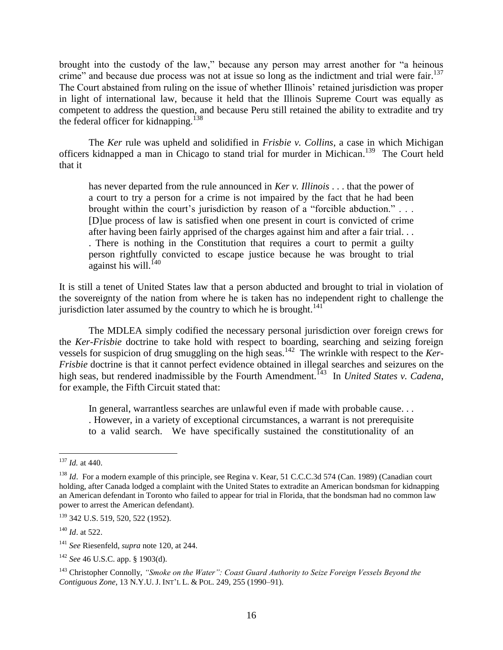brought into the custody of the law," because any person may arrest another for "a heinous crime" and because due process was not at issue so long as the indictment and trial were fair.<sup>137</sup> The Court abstained from ruling on the issue of whether Illinois' retained jurisdiction was proper in light of international law, because it held that the Illinois Supreme Court was equally as competent to address the question, and because Peru still retained the ability to extradite and try the federal officer for kidnapping.<sup>138</sup>

The *Ker* rule was upheld and solidified in *Frisbie v. Collins*, a case in which Michigan officers kidnapped a man in Chicago to stand trial for murder in Michican.<sup>139</sup> The Court held that it

has never departed from the rule announced in *Ker v. Illinois* . . . that the power of a court to try a person for a crime is not impaired by the fact that he had been brought within the court's jurisdiction by reason of a "forcible abduction."... [D]ue process of law is satisfied when one present in court is convicted of crime after having been fairly apprised of the charges against him and after a fair trial. . . . There is nothing in the Constitution that requires a court to permit a guilty person rightfully convicted to escape justice because he was brought to trial  $a$ gainst his will.<sup>140</sup>

It is still a tenet of United States law that a person abducted and brought to trial in violation of the sovereignty of the nation from where he is taken has no independent right to challenge the jurisdiction later assumed by the country to which he is brought.<sup>141</sup>

The MDLEA simply codified the necessary personal jurisdiction over foreign crews for the *Ker-Frisbie* doctrine to take hold with respect to boarding, searching and seizing foreign vessels for suspicion of drug smuggling on the high seas.<sup>142</sup> The wrinkle with respect to the *Ker-Frisbie* doctrine is that it cannot perfect evidence obtained in illegal searches and seizures on the high seas, but rendered inadmissible by the Fourth Amendment.<sup>143</sup> In *United States v. Cadena*, for example, the Fifth Circuit stated that:

In general, warrantless searches are unlawful even if made with probable cause. . . . However, in a variety of exceptional circumstances, a warrant is not prerequisite to a valid search. We have specifically sustained the constitutionality of an

 $\overline{\phantom{a}}$ <sup>137</sup> *Id.* at 440.

<sup>&</sup>lt;sup>138</sup> *Id.* For a modern example of this principle, see Regina v. Kear, 51 C.C.C.3d 574 (Can. 1989) (Canadian court holding, after Canada lodged a complaint with the United States to extradite an American bondsman for kidnapping an American defendant in Toronto who failed to appear for trial in Florida, that the bondsman had no common law power to arrest the American defendant).

<sup>139</sup> 342 U.S. 519, 520, 522 (1952).

<sup>140</sup> *Id*. at 522.

<sup>141</sup> *See* Riesenfeld, *supra* note 120, at 244.

<sup>142</sup> *See* 46 U.S.C. app. § 1903(d).

<sup>143</sup> Christopher Connolly, *"Smoke on the Water": Coast Guard Authority to Seize Foreign Vessels Beyond the Contiguous Zone*, 13 N.Y.U. J. INT'L L. & POL. 249, 255 (1990–91).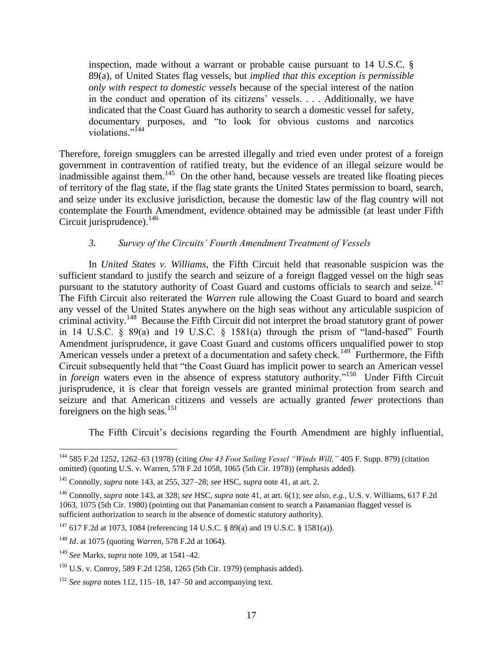inspection, made without a warrant or probable cause pursuant to 14 U.S.C. § 89(a), of United States flag vessels, but *implied that this exception is permissible only with respect to domestic vessels* because of the special interest of the nation in the conduct and operation of its citizens' vessels. . . . Additionally, we have indicated that the Coast Guard has authority to search a domestic vessel for safety, documentary purposes, and "to look for obvious customs and narcotics violations."<sup>144</sup>

Therefore, foreign smugglers can be arrested illegally and tried even under protest of a foreign government in contravention of ratified treaty, but the evidence of an illegal seizure would be inadmissible against them.<sup>145</sup> On the other hand, because vessels are treated like floating pieces of territory of the flag state, if the flag state grants the United States permission to board, search, and seize under its exclusive jurisdiction, because the domestic law of the flag country will not contemplate the Fourth Amendment, evidence obtained may be admissible (at least under Fifth Circuit jurisprudence). 146

## *3. Survey of the Circuits" Fourth Amendment Treatment of Vessels*

In *United States v. Williams*, the Fifth Circuit held that reasonable suspicion was the sufficient standard to justify the search and seizure of a foreign flagged vessel on the high seas pursuant to the statutory authority of Coast Guard and customs officials to search and seize.<sup>147</sup> The Fifth Circuit also reiterated the *Warren* rule allowing the Coast Guard to board and search any vessel of the United States anywhere on the high seas without any articulable suspicion of criminal activity.<sup>148</sup> Because the Fifth Circuit did not interpret the broad statutory grant of power in 14 U.S.C.  $\S$  89(a) and 19 U.S.C.  $\S$  1581(a) through the prism of "land-based" Fourth Amendment jurisprudence, it gave Coast Guard and customs officers unqualified power to stop American vessels under a pretext of a documentation and safety check.<sup>149</sup> Furthermore, the Fifth Circuit subsequently held that "the Coast Guard has implicit power to search an American vessel in *foreign* waters even in the absence of express statutory authority."<sup>150</sup> Under Fifth Circuit jurisprudence, it is clear that foreign vessels are granted minimal protection from search and seizure and that American citizens and vessels are actually granted *fewer* protections than foreigners on the high seas.<sup>151</sup>

The Fifth Circuit's decisions regarding the Fourth Amendment are highly influential,

 $\overline{\phantom{a}}$ <sup>144</sup> 585 F.2d 1252, 1262–63 (1978) (citing *One 43 Foot Sailing Vessel "Winds Will,"* 405 F. Supp. 879) (citation omitted) (quoting U.S. v. Warren, 578 F.2d 1058, 1065 (5th Cir. 1978)) (emphasis added).

<sup>145</sup> Connolly, *supra* note 143, at 255, 327–28; *see* HSC, *supra* note 41, at art. 2.

<sup>146</sup> Connolly, *supra* note 143, at 328; *see* HSC, *supra* note 41, at art. 6(1); *see also, e.g.*, U.S. v. Williams, 617 F.2d 1063, 1075 (5th Cir. 1980) (pointing out that Panamanian consent to search a Panamanian flagged vessel is sufficient authorization to search in the absence of domestic statutory authority).

<sup>147</sup> 617 F.2d at 1073, 1084 (referencing 14 U.S.C. § 89(a) and 19 U.S.C. § 1581(a)).

<sup>148</sup> *Id*. at 1075 (quoting *Warren*, 578 F.2d at 1064).

<sup>149</sup> *See* Marks, *supra* note 109, at 1541–42.

<sup>150</sup> U.S. v. Conroy, 589 F.2d 1258, 1265 (5th Cir. 1979) (emphasis added).

<sup>151</sup> *See supra* notes 112, 115–18, 147–50 and accompanying text.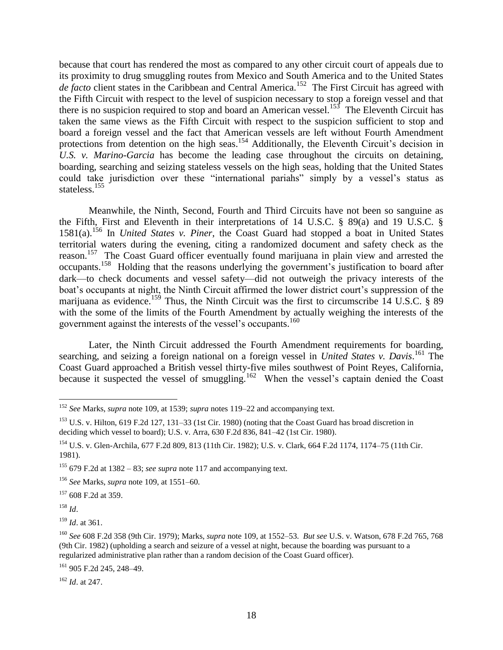because that court has rendered the most as compared to any other circuit court of appeals due to its proximity to drug smuggling routes from Mexico and South America and to the United States de facto client states in the Caribbean and Central America.<sup>152</sup> The First Circuit has agreed with the Fifth Circuit with respect to the level of suspicion necessary to stop a foreign vessel and that there is no suspicion required to stop and board an American vessel.<sup>153</sup> The Eleventh Circuit has taken the same views as the Fifth Circuit with respect to the suspicion sufficient to stop and board a foreign vessel and the fact that American vessels are left without Fourth Amendment protections from detention on the high seas.<sup>154</sup> Additionally, the Eleventh Circuit's decision in *U.S. v. Marino-Garcia* has become the leading case throughout the circuits on detaining, boarding, searching and seizing stateless vessels on the high seas, holding that the United States could take jurisdiction over these "international pariahs" simply by a vessel's status as stateless.<sup>155</sup>

Meanwhile, the Ninth, Second, Fourth and Third Circuits have not been so sanguine as the Fifth, First and Eleventh in their interpretations of 14 U.S.C. § 89(a) and 19 U.S.C. § 1581(a).<sup>156</sup> In *United States v. Piner*, the Coast Guard had stopped a boat in United States territorial waters during the evening, citing a randomized document and safety check as the reason.<sup>157</sup> The Coast Guard officer eventually found marijuana in plain view and arrested the occupants.<sup>158</sup> Holding that the reasons underlying the government's justification to board after dark—to check documents and vessel safety—did not outweigh the privacy interests of the boat's occupants at night, the Ninth Circuit affirmed the lower district court's suppression of the marijuana as evidence.<sup>159</sup> Thus, the Ninth Circuit was the first to circumscribe 14 U.S.C. § 89 with the some of the limits of the Fourth Amendment by actually weighing the interests of the government against the interests of the vessel's occupants.<sup>160</sup>

Later, the Ninth Circuit addressed the Fourth Amendment requirements for boarding, searching, and seizing a foreign national on a foreign vessel in *United States v. Davis*. <sup>161</sup> The Coast Guard approached a British vessel thirty-five miles southwest of Point Reyes, California, because it suspected the vessel of smuggling.<sup>162</sup> When the vessel's captain denied the Coast

<sup>157</sup> 608 F.2d at 359.

<sup>158</sup> *Id*.

<sup>159</sup> *Id*. at 361.

<sup>162</sup> *Id*. at 247.

 $\overline{\phantom{a}}$ <sup>152</sup> *See* Marks, *supra* note 109, at 1539; *supra* notes 119–22 and accompanying text.

<sup>&</sup>lt;sup>153</sup> U.S. v. Hilton, 619 F.2d 127, 131–33 (1st Cir. 1980) (noting that the Coast Guard has broad discretion in deciding which vessel to board); U.S. v. Arra, 630 F.2d 836, 841–42 (1st Cir. 1980).

<sup>154</sup> U.S. v. Glen-Archila, 677 F.2d 809, 813 (11th Cir. 1982); U.S. v. Clark, 664 F.2d 1174, 1174–75 (11th Cir. 1981).

<sup>&</sup>lt;sup>155</sup> 679 F.2d at 1382 – 83; *see supra* note 117 and accompanying text.

<sup>156</sup> *See* Marks, *supra* note 109, at 1551–60.

<sup>160</sup> *See* 608 F.2d 358 (9th Cir. 1979); Marks, *supra* note 109, at 1552–53. *But see* U.S. v. Watson, 678 F.2d 765, 768 (9th Cir. 1982) (upholding a search and seizure of a vessel at night, because the boarding was pursuant to a regularized administrative plan rather than a random decision of the Coast Guard officer).

<sup>161</sup> 905 F.2d 245, 248–49.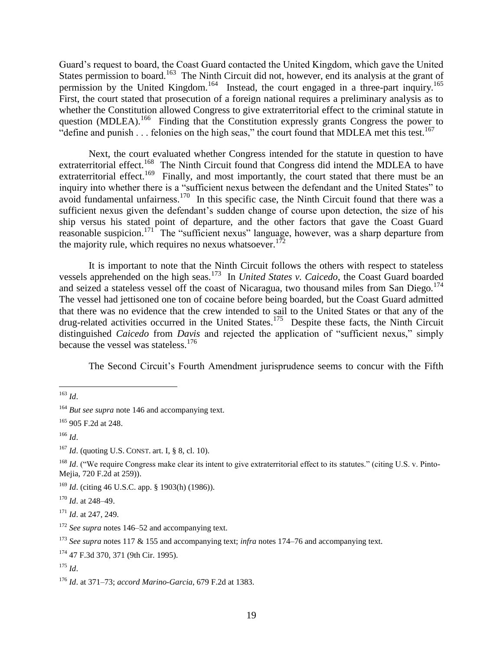Guard's request to board, the Coast Guard contacted the United Kingdom, which gave the United States permission to board.<sup>163</sup> The Ninth Circuit did not, however, end its analysis at the grant of permission by the United Kingdom.<sup>164</sup> Instead, the court engaged in a three-part inquiry.<sup>165</sup> First, the court stated that prosecution of a foreign national requires a preliminary analysis as to whether the Constitution allowed Congress to give extraterritorial effect to the criminal statute in question (MDLEA).<sup>166</sup> Finding that the Constitution expressly grants Congress the power to "define and punish  $\ldots$  felonies on the high seas," the court found that MDLEA met this test.<sup>167</sup>

Next, the court evaluated whether Congress intended for the statute in question to have extraterritorial effect.<sup>168</sup> The Ninth Circuit found that Congress did intend the MDLEA to have extraterritorial effect.<sup>169</sup> Finally, and most importantly, the court stated that there must be an inquiry into whether there is a "sufficient nexus between the defendant and the United States" to avoid fundamental unfairness.<sup>170</sup> In this specific case, the Ninth Circuit found that there was a sufficient nexus given the defendant's sudden change of course upon detection, the size of his ship versus his stated point of departure, and the other factors that gave the Coast Guard reasonable suspicion.<sup>171</sup> The "sufficient nexus" language, however, was a sharp departure from the majority rule, which requires no nexus whatsoever.<sup>172</sup>

It is important to note that the Ninth Circuit follows the others with respect to stateless vessels apprehended on the high seas.<sup>173</sup> In *United States v. Caicedo*, the Coast Guard boarded and seized a stateless vessel off the coast of Nicaragua, two thousand miles from San Diego.<sup>174</sup> The vessel had jettisoned one ton of cocaine before being boarded, but the Coast Guard admitted that there was no evidence that the crew intended to sail to the United States or that any of the drug-related activities occurred in the United States.<sup>175</sup> Despite these facts, the Ninth Circuit distinguished *Caicedo* from *Davis* and rejected the application of "sufficient nexus," simply because the vessel was stateless.<sup>176</sup>

The Second Circuit's Fourth Amendment jurisprudence seems to concur with the Fifth

 $\overline{\phantom{a}}$ <sup>163</sup> *Id*.

<sup>&</sup>lt;sup>164</sup> *But see supra* note 146 and accompanying text.

<sup>165</sup> 905 F.2d at 248.

<sup>166</sup> *Id*.

<sup>167</sup> *Id*. (quoting U.S. CONST. art. I, § 8, cl. 10).

<sup>&</sup>lt;sup>168</sup> *Id.* ("We require Congress make clear its intent to give extraterritorial effect to its statutes." (citing U.S. v. Pinto-Mejia, 720 F.2d at 259)).

<sup>169</sup> *Id*. (citing 46 U.S.C. app. § 1903(h) (1986)).

<sup>170</sup> *Id*. at 248–49.

<sup>171</sup> *Id*. at 247, 249.

<sup>172</sup> *See supra* notes 146–52 and accompanying text.

<sup>173</sup> *See supra* notes 117 & 155 and accompanying text; *infra* notes 174–76 and accompanying text.

<sup>174</sup> 47 F.3d 370, 371 (9th Cir. 1995).

<sup>175</sup> *Id*.

<sup>176</sup> *Id*. at 371–73; *accord Marino-Garcia*, 679 F.2d at 1383.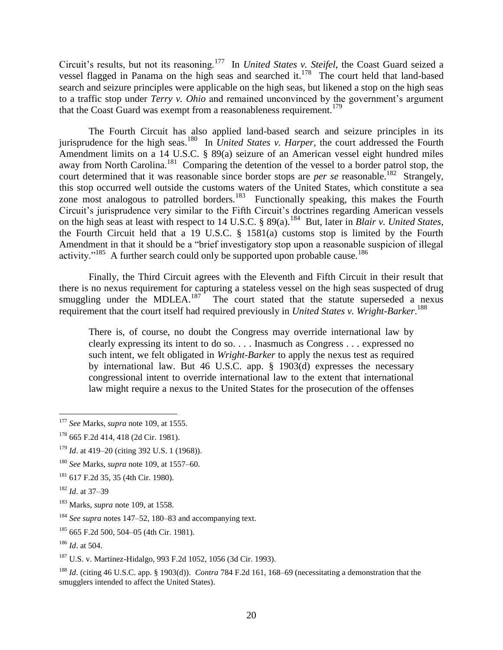Circuit's results, but not its reasoning.<sup>177</sup> In *United States v. Steifel*, the Coast Guard seized a vessel flagged in Panama on the high seas and searched it.<sup>178</sup> The court held that land-based search and seizure principles were applicable on the high seas, but likened a stop on the high seas to a traffic stop under *Terry v. Ohio* and remained unconvinced by the government's argument that the Coast Guard was exempt from a reasonableness requirement.<sup>179</sup>

The Fourth Circuit has also applied land-based search and seizure principles in its jurisprudence for the high seas.<sup>180</sup> In *United States v. Harper*, the court addressed the Fourth Amendment limits on a 14 U.S.C. § 89(a) seizure of an American vessel eight hundred miles away from North Carolina.<sup>181</sup> Comparing the detention of the vessel to a border patrol stop, the court determined that it was reasonable since border stops are *per se* reasonable.<sup>182</sup> Strangely, this stop occurred well outside the customs waters of the United States, which constitute a sea zone most analogous to patrolled borders.<sup>183</sup> Functionally speaking, this makes the Fourth Circuit's jurisprudence very similar to the Fifth Circuit's doctrines regarding American vessels on the high seas at least with respect to 14 U.S.C. § 89(a).<sup>184</sup> But, later in *Blair v. United States*, the Fourth Circuit held that a 19 U.S.C. § 1581(a) customs stop is limited by the Fourth Amendment in that it should be a "brief investigatory stop upon a reasonable suspicion of illegal activity."<sup>185</sup> A further search could only be supported upon probable cause.<sup>186</sup>

Finally, the Third Circuit agrees with the Eleventh and Fifth Circuit in their result that there is no nexus requirement for capturing a stateless vessel on the high seas suspected of drug smuggling under the MDLEA. $187$  The court stated that the statute superseded a nexus requirement that the court itself had required previously in *United States v. Wright-Barker*. 188

There is, of course, no doubt the Congress may override international law by clearly expressing its intent to do so. . . . Inasmuch as Congress . . . expressed no such intent, we felt obligated in *Wright-Barker* to apply the nexus test as required by international law. But 46 U.S.C. app. § 1903(d) expresses the necessary congressional intent to override international law to the extent that international law might require a nexus to the United States for the prosecution of the offenses

 $\overline{\phantom{a}}$ <sup>177</sup> *See* Marks, *supra* note 109, at 1555.

<sup>178</sup> 665 F.2d 414, 418 (2d Cir. 1981).

<sup>179</sup> *Id*. at 419–20 (citing 392 U.S. 1 (1968)).

<sup>180</sup> *See* Marks, *supra* note 109, at 1557–60.

<sup>181</sup> 617 F.2d 35, 35 (4th Cir. 1980).

<sup>182</sup> *Id*. at 37–39

<sup>183</sup> Marks, *supra* note 109, at 1558.

<sup>184</sup> *See supra* notes 147–52, 180–83 and accompanying text.

<sup>185</sup> 665 F.2d 500, 504–05 (4th Cir. 1981).

<sup>186</sup> *Id*. at 504.

<sup>187</sup> U.S. v. Martinez-Hidalgo, 993 F.2d 1052, 1056 (3d Cir. 1993).

<sup>188</sup> *Id*. (citing 46 U.S.C. app. § 1903(d)). *Contra* 784 F.2d 161, 168–69 (necessitating a demonstration that the smugglers intended to affect the United States).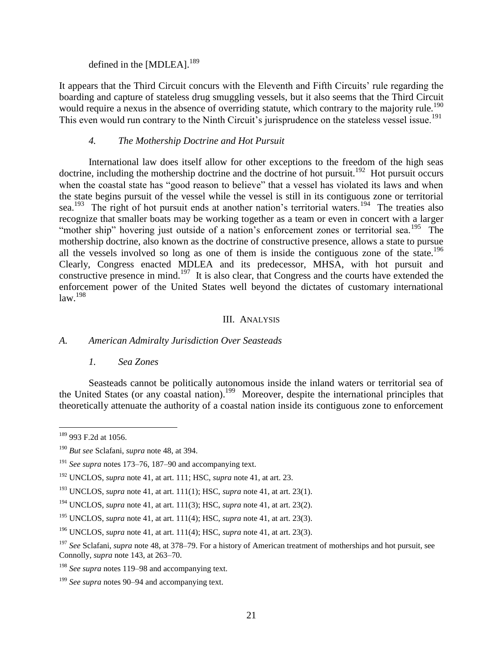defined in the [MDLEA].<sup>189</sup>

It appears that the Third Circuit concurs with the Eleventh and Fifth Circuits' rule regarding the boarding and capture of stateless drug smuggling vessels, but it also seems that the Third Circuit would require a nexus in the absence of overriding statute, which contrary to the majority rule.<sup>190</sup> This even would run contrary to the Ninth Circuit's jurisprudence on the stateless vessel issue.<sup>191</sup>

### *4. The Mothership Doctrine and Hot Pursuit*

International law does itself allow for other exceptions to the freedom of the high seas doctrine, including the mothership doctrine and the doctrine of hot pursuit.<sup>192</sup> Hot pursuit occurs when the coastal state has "good reason to believe" that a vessel has violated its laws and when the state begins pursuit of the vessel while the vessel is still in its contiguous zone or territorial sea.<sup>193</sup> The right of hot pursuit ends at another nation's territorial waters.<sup>194</sup> The treaties also recognize that smaller boats may be working together as a team or even in concert with a larger "mother ship" hovering just outside of a nation's enforcement zones or territorial sea.<sup>195</sup> The mothership doctrine, also known as the doctrine of constructive presence, allows a state to pursue all the vessels involved so long as one of them is inside the contiguous zone of the state.<sup>196</sup> Clearly, Congress enacted MDLEA and its predecessor, MHSA, with hot pursuit and constructive presence in mind.<sup>197</sup> It is also clear, that Congress and the courts have extended the enforcement power of the United States well beyond the dictates of customary international law.<sup>198</sup>

#### III. ANALYSIS

#### *A. American Admiralty Jurisdiction Over Seasteads*

#### *1. Sea Zones*

Seasteads cannot be politically autonomous inside the inland waters or territorial sea of the United States (or any coastal nation).<sup>199</sup> Moreover, despite the international principles that theoretically attenuate the authority of a coastal nation inside its contiguous zone to enforcement

 $\overline{\phantom{a}}$ <sup>189</sup> 993 F.2d at 1056.

<sup>190</sup> *But see* Sclafani, *supra* note 48, at 394.

<sup>191</sup> *See supra* notes 173–76, 187–90 and accompanying text.

<sup>192</sup> UNCLOS, *supra* note 41, at art. 111; HSC, *supra* note 41, at art. 23.

<sup>&</sup>lt;sup>193</sup> UNCLOS, *supra* note 41, at art. 111(1); HSC, *supra* note 41, at art. 23(1).

<sup>194</sup> UNCLOS, *supra* note 41, at art. 111(3); HSC, *supra* note 41, at art. 23(2).

<sup>195</sup> UNCLOS, *supra* note 41, at art. 111(4); HSC, *supra* note 41, at art. 23(3).

<sup>196</sup> UNCLOS, *supra* note 41, at art. 111(4); HSC, *supra* note 41, at art. 23(3).

<sup>197</sup> *See* Sclafani, *supra* note 48, at 378–79. For a history of American treatment of motherships and hot pursuit, see Connolly, *supra* note 143, at 263–70.

<sup>198</sup> *See supra* notes 119–98 and accompanying text.

<sup>199</sup> *See supra* notes 90–94 and accompanying text.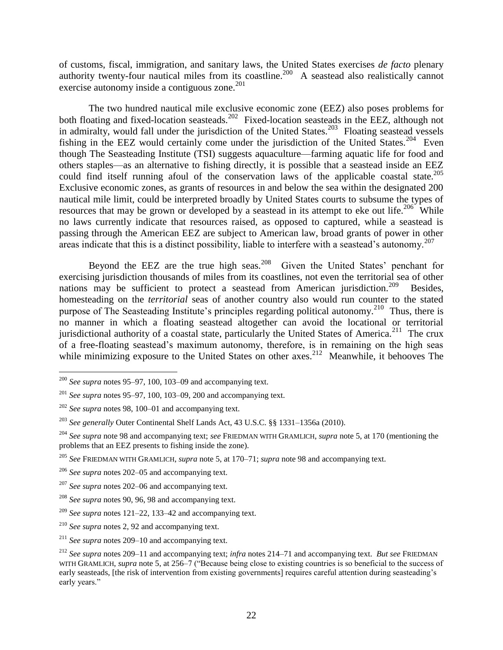of customs, fiscal, immigration, and sanitary laws, the United States exercises *de facto* plenary authority twenty-four nautical miles from its coastline.<sup>200</sup> A seastead also realistically cannot exercise autonomy inside a contiguous zone.<sup>201</sup>

The two hundred nautical mile exclusive economic zone (EEZ) also poses problems for both floating and fixed-location seasteads.<sup>202</sup> Fixed-location seasteads in the EEZ, although not in admiralty, would fall under the jurisdiction of the United States.<sup>203</sup> Floating seastead vessels fishing in the EEZ would certainly come under the jurisdiction of the United States.<sup>204</sup> Even though The Seasteading Institute (TSI) suggests aquaculture—farming aquatic life for food and others staples—as an alternative to fishing directly, it is possible that a seastead inside an EEZ could find itself running afoul of the conservation laws of the applicable coastal state.<sup>205</sup> Exclusive economic zones, as grants of resources in and below the sea within the designated 200 nautical mile limit, could be interpreted broadly by United States courts to subsume the types of resources that may be grown or developed by a seastead in its attempt to eke out life.<sup>206</sup> While no laws currently indicate that resources raised, as opposed to captured, while a seastead is passing through the American EEZ are subject to American law, broad grants of power in other areas indicate that this is a distinct possibility, liable to interfere with a seastead's autonomy.<sup>207</sup>

Beyond the EEZ are the true high seas.<sup>208</sup> Given the United States' penchant for exercising jurisdiction thousands of miles from its coastlines, not even the territorial sea of other nations may be sufficient to protect a seastead from American jurisdiction.<sup>209</sup> Besides, homesteading on the *territorial* seas of another country also would run counter to the stated purpose of The Seasteading Institute's principles regarding political autonomy.<sup>210</sup> Thus, there is no manner in which a floating seastead altogether can avoid the locational or territorial jurisdictional authority of a coastal state, particularly the United States of America.<sup>211</sup> The crux of a free-floating seastead's maximum autonomy, therefore, is in remaining on the high seas while minimizing exposure to the United States on other  $axes$ <sup>212</sup> Meanwhile, it behooves The

 $\overline{\phantom{a}}$ <sup>200</sup> *See supra* notes 95–97, 100, 103–09 and accompanying text.

<sup>201</sup> *See supra* notes 95–97, 100, 103–09, 200 and accompanying text.

<sup>202</sup> *See supra* notes 98, 100–01 and accompanying text.

<sup>203</sup> *See generally* Outer Continental Shelf Lands Act, 43 U.S.C. §§ 1331–1356a (2010).

<sup>204</sup> *See supra* note 98 and accompanying text; *see* FRIEDMAN WITH GRAMLICH, *supra* note 5, at 170 (mentioning the problems that an EEZ presents to fishing inside the zone).

<sup>205</sup> *See* FRIEDMAN WITH GRAMLICH, *supra* note 5, at 170–71; *supra* note 98 and accompanying text.

<sup>206</sup> *See supra* notes 202–05 and accompanying text.

<sup>207</sup> *See supra* notes 202–06 and accompanying text.

<sup>208</sup> *See supra* notes 90, 96, 98 and accompanying text.

<sup>209</sup> *See supra* notes 121–22, 133–42 and accompanying text.

<sup>210</sup> *See supra* notes 2, 92 and accompanying text.

<sup>211</sup> *See supra* notes 209–10 and accompanying text.

<sup>212</sup> *See supra* notes 209–11 and accompanying text; *infra* notes 214–71 and accompanying text. *But see* FRIEDMAN WITH GRAMLICH, *supra* note 5, at 256–7 ("Because being close to existing countries is so beneficial to the success of early seasteads, [the risk of intervention from existing governments] requires careful attention during seasteading's early years."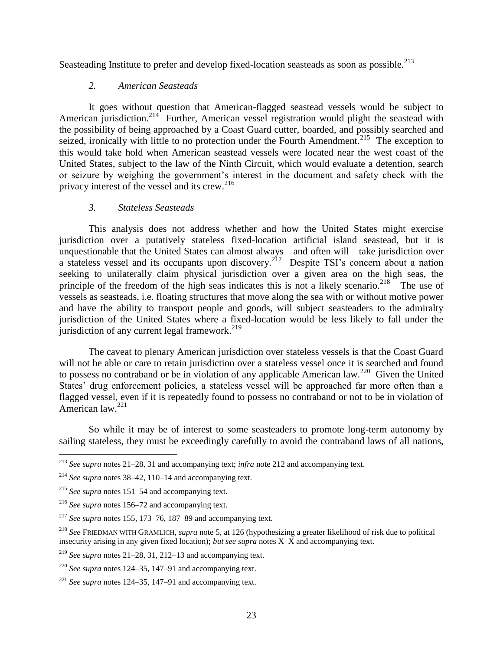Seasteading Institute to prefer and develop fixed-location seasteads as soon as possible.<sup>213</sup>

## *2. American Seasteads*

It goes without question that American-flagged seastead vessels would be subject to American jurisdiction.<sup>214</sup> Further, American vessel registration would plight the seastead with the possibility of being approached by a Coast Guard cutter, boarded, and possibly searched and seized, ironically with little to no protection under the Fourth Amendment.<sup>215</sup> The exception to this would take hold when American seastead vessels were located near the west coast of the United States, subject to the law of the Ninth Circuit, which would evaluate a detention, search or seizure by weighing the government's interest in the document and safety check with the privacy interest of the vessel and its crew.<sup>216</sup>

## *3. Stateless Seasteads*

This analysis does not address whether and how the United States might exercise jurisdiction over a putatively stateless fixed-location artificial island seastead, but it is unquestionable that the United States can almost always—and often will—take jurisdiction over a stateless vessel and its occupants upon discovery.<sup>217</sup> Despite TSI's concern about a nation seeking to unilaterally claim physical jurisdiction over a given area on the high seas, the principle of the freedom of the high seas indicates this is not a likely scenario.<sup>218</sup> The use of vessels as seasteads, i.e. floating structures that move along the sea with or without motive power and have the ability to transport people and goods, will subject seasteaders to the admiralty jurisdiction of the United States where a fixed-location would be less likely to fall under the jurisdiction of any current legal framework.<sup>219</sup>

The caveat to plenary American jurisdiction over stateless vessels is that the Coast Guard will not be able or care to retain jurisdiction over a stateless vessel once it is searched and found to possess no contraband or be in violation of any applicable American law.<sup>220</sup> Given the United States' drug enforcement policies, a stateless vessel will be approached far more often than a flagged vessel, even if it is repeatedly found to possess no contraband or not to be in violation of American law.<sup>221</sup>

So while it may be of interest to some seasteaders to promote long-term autonomy by sailing stateless, they must be exceedingly carefully to avoid the contraband laws of all nations,

 $\overline{\phantom{a}}$ <sup>213</sup> *See supra* notes 21–28, 31 and accompanying text; *infra* note 212 and accompanying text.

<sup>214</sup> *See supra* notes 38–42, 110–14 and accompanying text.

<sup>215</sup> *See supra* notes 151–54 and accompanying text.

<sup>216</sup> *See supra* notes 156–72 and accompanying text.

<sup>217</sup> *See supra* notes 155, 173–76, 187–89 and accompanying text.

<sup>218</sup> *See* FRIEDMAN WITH GRAMLICH, *supra* note 5, at 126 (hypothesizing a greater likelihood of risk due to political insecurity arising in any given fixed location); *but see supra* notes X–X and accompanying text.

<sup>219</sup> *See supra* notes 21–28, 31, 212–13 and accompanying text.

<sup>220</sup> *See supra* notes 124–35, 147–91 and accompanying text.

<sup>221</sup> *See supra* notes 124–35, 147–91 and accompanying text.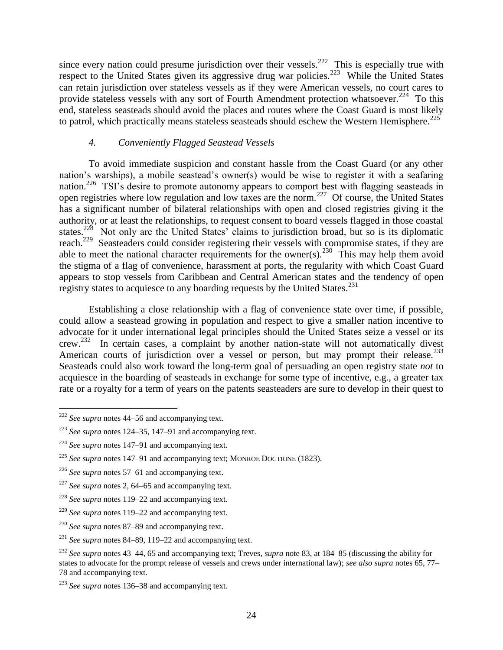since every nation could presume jurisdiction over their vessels.<sup>222</sup> This is especially true with respect to the United States given its aggressive drug war policies.<sup>223</sup> While the United States can retain jurisdiction over stateless vessels as if they were American vessels, no court cares to provide stateless vessels with any sort of Fourth Amendment protection whatsoever.<sup>224</sup> To this end, stateless seasteads should avoid the places and routes where the Coast Guard is most likely to patrol, which practically means stateless seasteads should eschew the Western Hemisphere.<sup>225</sup>

## *4. Conveniently Flagged Seastead Vessels*

To avoid immediate suspicion and constant hassle from the Coast Guard (or any other nation's warships), a mobile seastead's owner(s) would be wise to register it with a seafaring nation.<sup>226</sup> TSI's desire to promote autonomy appears to comport best with flagging seasteads in open registries where low regulation and low taxes are the norm.<sup>227</sup> Of course, the United States has a significant number of bilateral relationships with open and closed registries giving it the authority, or at least the relationships, to request consent to board vessels flagged in those coastal states.<sup>228</sup> Not only are the United States' claims to jurisdiction broad, but so is its diplomatic reach.<sup>229</sup> Seasteaders could consider registering their vessels with compromise states, if they are able to meet the national character requirements for the owner(s).<sup>230</sup> This may help them avoid the stigma of a flag of convenience, harassment at ports, the regularity with which Coast Guard appears to stop vessels from Caribbean and Central American states and the tendency of open registry states to acquiesce to any boarding requests by the United States.<sup>231</sup>

Establishing a close relationship with a flag of convenience state over time, if possible, could allow a seastead growing in population and respect to give a smaller nation incentive to advocate for it under international legal principles should the United States seize a vessel or its crew.<sup>232</sup> In certain cases, a complaint by another nation-state will not automatically divest American courts of jurisdiction over a vessel or person, but may prompt their release.<sup>233</sup> Seasteads could also work toward the long-term goal of persuading an open registry state *not* to acquiesce in the boarding of seasteads in exchange for some type of incentive, e.g., a greater tax rate or a royalty for a term of years on the patents seasteaders are sure to develop in their quest to

<sup>231</sup> *See supra* notes 84–89, 119–22 and accompanying text.

 $\overline{\phantom{a}}$ <sup>222</sup> *See supra* notes 44–56 and accompanying text.

<sup>223</sup> *See supra* notes 124–35, 147–91 and accompanying text.

<sup>224</sup> *See supra* notes 147–91 and accompanying text.

<sup>225</sup> *See supra* notes 147–91 and accompanying text; MONROE DOCTRINE (1823).

<sup>226</sup> *See supra* notes 57–61 and accompanying text.

<sup>227</sup> *See supra* notes 2, 64–65 and accompanying text.

<sup>228</sup> *See supra* notes 119–22 and accompanying text.

<sup>229</sup> *See supra* notes 119–22 and accompanying text.

<sup>230</sup> *See supra* notes 87–89 and accompanying text.

<sup>232</sup> *See supra* notes 43–44, 65 and accompanying text; Treves, *supra* note 83, at 184–85 (discussing the ability for states to advocate for the prompt release of vessels and crews under international law); *see also supra* notes 65, 77– 78 and accompanying text.

<sup>233</sup> *See supra* notes 136–38 and accompanying text.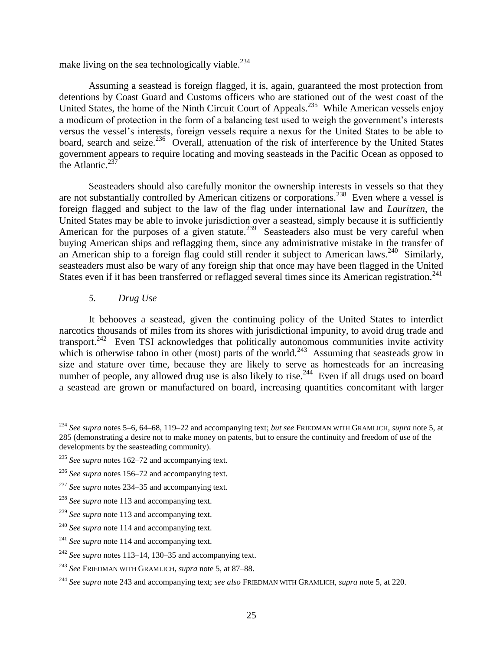make living on the sea technologically viable.<sup>234</sup>

Assuming a seastead is foreign flagged, it is, again, guaranteed the most protection from detentions by Coast Guard and Customs officers who are stationed out of the west coast of the United States, the home of the Ninth Circuit Court of Appeals.<sup>235</sup> While American vessels enjoy a modicum of protection in the form of a balancing test used to weigh the government's interests versus the vessel's interests, foreign vessels require a nexus for the United States to be able to board, search and seize.<sup>236</sup> Overall, attenuation of the risk of interference by the United States government appears to require locating and moving seasteads in the Pacific Ocean as opposed to the Atlantic. $^{23}$ 

Seasteaders should also carefully monitor the ownership interests in vessels so that they are not substantially controlled by American citizens or corporations.<sup>238</sup> Even where a vessel is foreign flagged and subject to the law of the flag under international law and *Lauritzen*, the United States may be able to invoke jurisdiction over a seastead, simply because it is sufficiently American for the purposes of a given statute.<sup>239</sup> Seasteaders also must be very careful when buying American ships and reflagging them, since any administrative mistake in the transfer of an American ship to a foreign flag could still render it subject to American laws.<sup>240</sup> Similarly, seasteaders must also be wary of any foreign ship that once may have been flagged in the United States even if it has been transferred or reflagged several times since its American registration.<sup>241</sup>

### *5. Drug Use*

It behooves a seastead, given the continuing policy of the United States to interdict narcotics thousands of miles from its shores with jurisdictional impunity, to avoid drug trade and transport.<sup>242</sup> Even TSI acknowledges that politically autonomous communities invite activity which is otherwise taboo in other (most) parts of the world.<sup>243</sup> Assuming that seasteads grow in size and stature over time, because they are likely to serve as homesteads for an increasing number of people, any allowed drug use is also likely to rise.<sup>244</sup> Even if all drugs used on board a seastead are grown or manufactured on board, increasing quantities concomitant with larger

 $\overline{\phantom{a}}$ <sup>234</sup> *See supra* notes 5–6, 64–68, 119–22 and accompanying text; *but see* FRIEDMAN WITH GRAMLICH, *supra* note 5, at 285 (demonstrating a desire not to make money on patents, but to ensure the continuity and freedom of use of the developments by the seasteading community).

<sup>235</sup> *See supra* notes 162–72 and accompanying text.

<sup>236</sup> *See supra* notes 156–72 and accompanying text.

<sup>237</sup> *See supra* notes 234–35 and accompanying text.

<sup>238</sup> *See supra* note 113 and accompanying text.

<sup>239</sup> *See supra* note 113 and accompanying text.

<sup>240</sup> *See supra* note 114 and accompanying text.

<sup>241</sup> *See supra* note 114 and accompanying text.

<sup>242</sup> *See supra* notes 113–14, 130–35 and accompanying text.

<sup>243</sup> *See* FRIEDMAN WITH GRAMLICH, *supra* note 5, at 87–88.

<sup>244</sup> *See supra* note 243 and accompanying text; *see also* FRIEDMAN WITH GRAMLICH, *supra* note 5, at 220.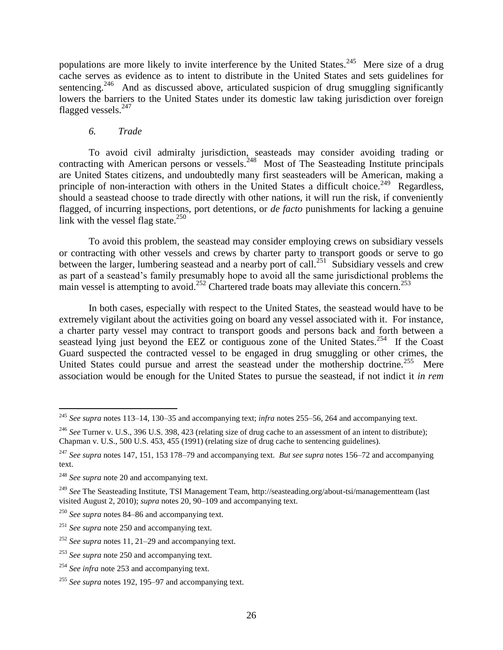populations are more likely to invite interference by the United States.<sup>245</sup> Mere size of a drug cache serves as evidence as to intent to distribute in the United States and sets guidelines for sentencing.<sup>246</sup> And as discussed above, articulated suspicion of drug smuggling significantly lowers the barriers to the United States under its domestic law taking jurisdiction over foreign flagged vessels. $^{247}$ 

### *6. Trade*

To avoid civil admiralty jurisdiction, seasteads may consider avoiding trading or contracting with American persons or vessels.<sup>248</sup> Most of The Seasteading Institute principals are United States citizens, and undoubtedly many first seasteaders will be American, making a principle of non-interaction with others in the United States a difficult choice.<sup>249</sup> Regardless, should a seastead choose to trade directly with other nations, it will run the risk, if conveniently flagged, of incurring inspections, port detentions, or *de facto* punishments for lacking a genuine link with the vessel flag state. $^{250}$ 

To avoid this problem, the seastead may consider employing crews on subsidiary vessels or contracting with other vessels and crews by charter party to transport goods or serve to go between the larger, lumbering seastead and a nearby port of call.<sup>251</sup> Subsidiary vessels and crew as part of a seastead's family presumably hope to avoid all the same jurisdictional problems the main vessel is attempting to avoid.<sup>252</sup> Chartered trade boats may alleviate this concern.<sup>253</sup>

In both cases, especially with respect to the United States, the seastead would have to be extremely vigilant about the activities going on board any vessel associated with it. For instance, a charter party vessel may contract to transport goods and persons back and forth between a seastead lying just beyond the EEZ or contiguous zone of the United States.<sup>254</sup> If the Coast Guard suspected the contracted vessel to be engaged in drug smuggling or other crimes, the United States could pursue and arrest the seastead under the mothership doctrine.<sup>255</sup> Mere association would be enough for the United States to pursue the seastead, if not indict it *in rem*

 $\overline{\phantom{a}}$ <sup>245</sup> *See supra* notes 113–14, 130–35 and accompanying text; *infra* notes 255–56, 264 and accompanying text.

<sup>&</sup>lt;sup>246</sup> See Turner v. U.S., 396 U.S. 398, 423 (relating size of drug cache to an assessment of an intent to distribute); Chapman v. U.S., 500 U.S. 453, 455 (1991) (relating size of drug cache to sentencing guidelines).

<sup>247</sup> *See supra* notes 147, 151, 153 178–79 and accompanying text. *But see supra* notes 156–72 and accompanying text.

<sup>248</sup> *See supra* note 20 and accompanying text.

<sup>249</sup> *See* The Seasteading Institute, TSI Management Team, http://seasteading.org/about-tsi/managementteam (last visited August 2, 2010); *supra* notes 20, 90–109 and accompanying text.

<sup>250</sup> *See supra* notes 84–86 and accompanying text.

<sup>251</sup> *See supra* note 250 and accompanying text.

<sup>252</sup> *See supra* notes 11, 21–29 and accompanying text.

<sup>253</sup> *See supra* note 250 and accompanying text.

<sup>254</sup> *See infra* note 253 and accompanying text.

<sup>255</sup> *See supra* notes 192, 195–97 and accompanying text.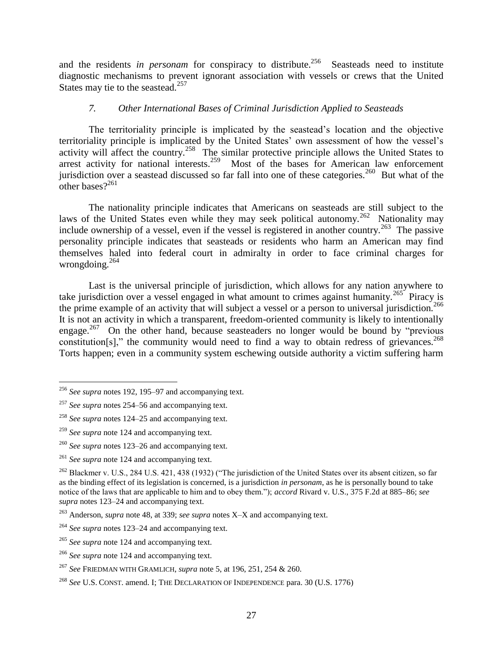and the residents *in personam* for conspiracy to distribute.<sup>256</sup> Seasteads need to institute diagnostic mechanisms to prevent ignorant association with vessels or crews that the United States may tie to the seastead.<sup>257</sup>

## *7. Other International Bases of Criminal Jurisdiction Applied to Seasteads*

The territoriality principle is implicated by the seastead's location and the objective territoriality principle is implicated by the United States' own assessment of how the vessel's activity will affect the country.<sup>258</sup> The similar protective principle allows the United States to arrest activity for national interests.<sup>259</sup> Most of the bases for American law enforcement jurisdiction over a seastead discussed so far fall into one of these categories.<sup>260</sup> But what of the other bases $2^{261}$ 

The nationality principle indicates that Americans on seasteads are still subject to the laws of the United States even while they may seek political autonomy.<sup>262</sup> Nationality may include ownership of a vessel, even if the vessel is registered in another country.<sup>263</sup> The passive personality principle indicates that seasteads or residents who harm an American may find themselves haled into federal court in admiralty in order to face criminal charges for wrongdoing.<sup>264</sup>

Last is the universal principle of jurisdiction, which allows for any nation anywhere to take jurisdiction over a vessel engaged in what amount to crimes against humanity.<sup>265</sup> Piracy is the prime example of an activity that will subject a vessel or a person to universal jurisdiction.<sup>266</sup> It is not an activity in which a transparent, freedom-oriented community is likely to intentionally engage.<sup>267</sup> On the other hand, because seasteaders no longer would be bound by "previous" constitution[s]," the community would need to find a way to obtain redress of grievances.<sup>268</sup> Torts happen; even in a community system eschewing outside authority a victim suffering harm

 $\overline{\phantom{a}}$ <sup>256</sup> *See supra* notes 192, 195–97 and accompanying text.

<sup>257</sup> *See supra* notes 254–56 and accompanying text.

<sup>258</sup> *See supra* notes 124–25 and accompanying text.

<sup>259</sup> *See supra* note 124 and accompanying text.

<sup>260</sup> *See supra* notes 123–26 and accompanying text.

<sup>261</sup> *See supra* note 124 and accompanying text.

 $^{262}$  Blackmer v. U.S., 284 U.S. 421, 438 (1932) ("The jurisdiction of the United States over its absent citizen, so far as the binding effect of its legislation is concerned, is a jurisdiction *in personam*, as he is personally bound to take notice of the laws that are applicable to him and to obey them."); *accord* Rivard v. U.S., 375 F.2d at 885–86; see *supra* notes 123–24 and accompanying text.

<sup>263</sup> Anderson, *supra* note 48, at 339; *see supra* notes X–X and accompanying text.

<sup>264</sup> *See supra* notes 123–24 and accompanying text.

<sup>265</sup> *See supra* note 124 and accompanying text.

<sup>266</sup> *See supra* note 124 and accompanying text.

<sup>267</sup> *See* FRIEDMAN WITH GRAMLICH, *supra* note 5, at 196, 251, 254 & 260.

<sup>268</sup> *See* U.S. CONST. amend. I; THE DECLARATION OF INDEPENDENCE para. 30 (U.S. 1776)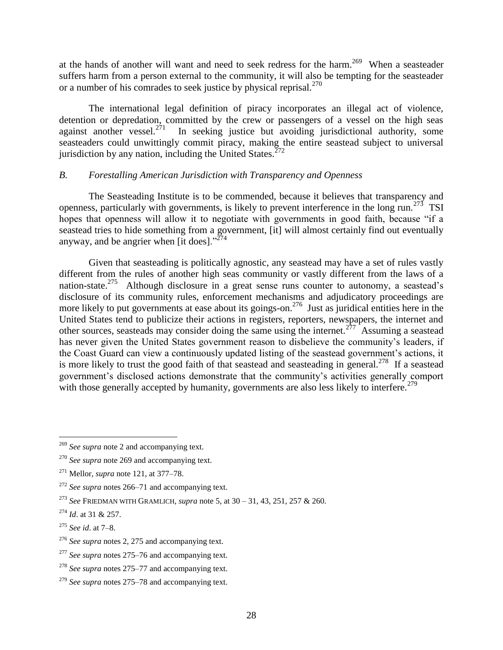at the hands of another will want and need to seek redress for the harm.<sup>269</sup> When a seasteader suffers harm from a person external to the community, it will also be tempting for the seasteader or a number of his comrades to seek justice by physical reprisal.<sup>270</sup>

The international legal definition of piracy incorporates an illegal act of violence, detention or depredation, committed by the crew or passengers of a vessel on the high seas against another vessel.<sup>271</sup> In seeking justice but avoiding jurisdictional authority, some seasteaders could unwittingly commit piracy, making the entire seastead subject to universal jurisdiction by any nation, including the United States. $^{272}$ 

## *B. Forestalling American Jurisdiction with Transparency and Openness*

The Seasteading Institute is to be commended, because it believes that transparency and openness, particularly with governments, is likely to prevent interference in the long run.<sup>273</sup> TSI hopes that openness will allow it to negotiate with governments in good faith, because "if a seastead tries to hide something from a government, [it] will almost certainly find out eventually anyway, and be angrier when [it does]." $^{274}$ 

Given that seasteading is politically agnostic, any seastead may have a set of rules vastly different from the rules of another high seas community or vastly different from the laws of a nation-state.<sup>275</sup> Although disclosure in a great sense runs counter to autonomy, a seastead's disclosure of its community rules, enforcement mechanisms and adjudicatory proceedings are more likely to put governments at ease about its goings-on.<sup>276</sup> Just as juridical entities here in the United States tend to publicize their actions in registers, reporters, newspapers, the internet and other sources, seasteads may consider doing the same using the internet.<sup>277</sup> Assuming a seastead has never given the United States government reason to disbelieve the community's leaders, if the Coast Guard can view a continuously updated listing of the seastead government's actions, it is more likely to trust the good faith of that seastead and seasteading in general.<sup>278</sup> If a seastead government's disclosed actions demonstrate that the community's activities generally comport with those generally accepted by humanity, governments are also less likely to interfere.<sup>279</sup>

 $\overline{\phantom{a}}$ <sup>269</sup> *See supra* note 2 and accompanying text.

<sup>270</sup> *See supra* note 269 and accompanying text.

<sup>271</sup> Mellor, *supra* note 121, at 377–78.

<sup>272</sup> *See supra* notes 266–71 and accompanying text.

<sup>273</sup> *See* FRIEDMAN WITH GRAMLICH, *supra* note 5, at 30 – 31, 43, 251, 257 & 260.

<sup>274</sup> *Id*. at 31 & 257.

<sup>275</sup> *See id*. at 7–8.

<sup>276</sup> *See supra* notes 2, 275 and accompanying text.

<sup>277</sup> *See supra* notes 275–76 and accompanying text.

<sup>278</sup> *See supra* notes 275–77 and accompanying text.

<sup>279</sup> *See supra* notes 275–78 and accompanying text.